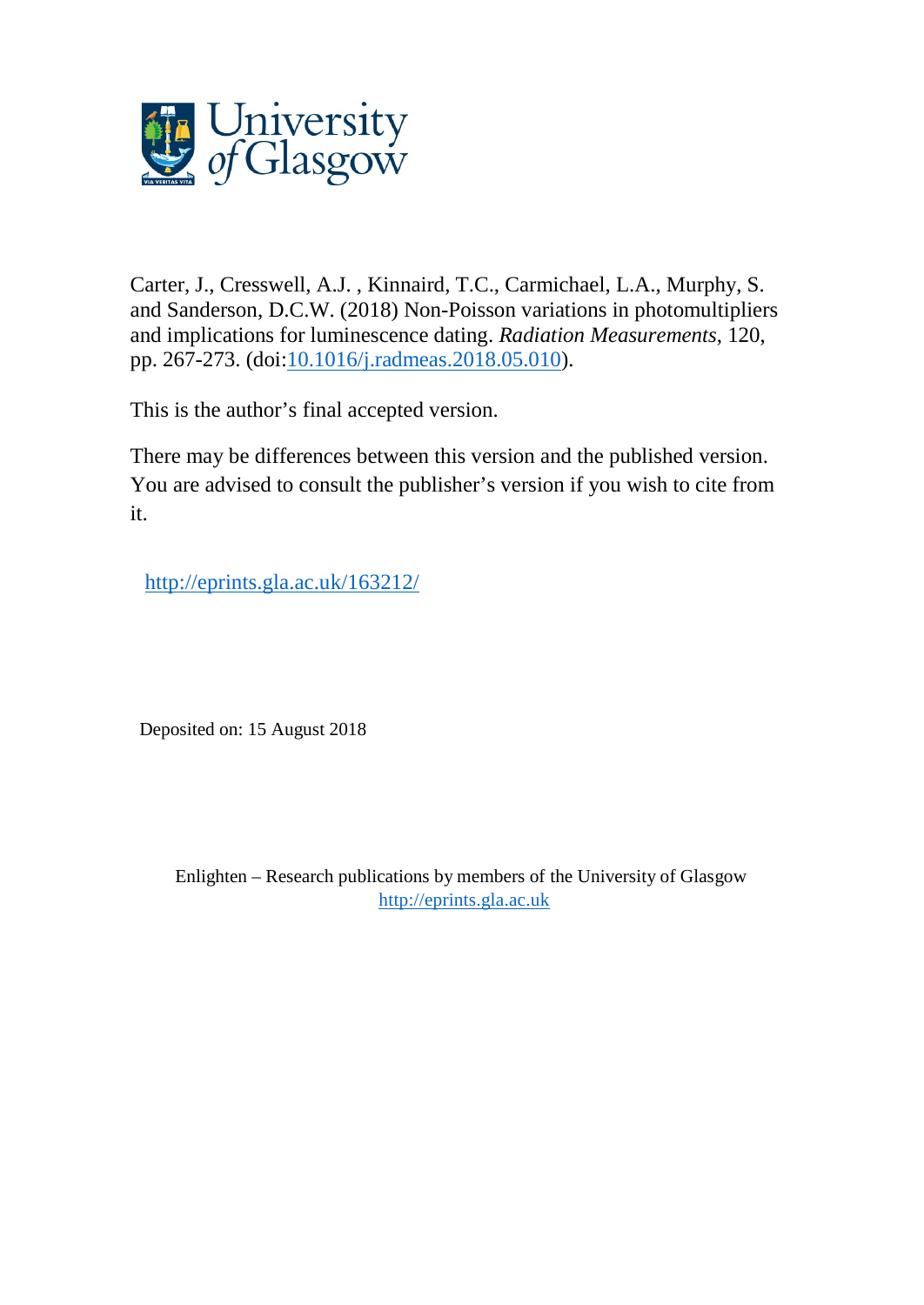

Carter, J., Cresswell, A.J. , Kinnaird, T.C., Carmichael, L.A., Murphy, S. and Sanderson, D.C.W. (2018) Non-Poisson variations in photomultipliers and implications for luminescence dating. *Radiation Measurements*, 120, pp. 267-273. (doi[:10.1016/j.radmeas.2018.05.010\)](http://dx.doi.org/10.1016/j.radmeas.2018.05.010).

This is the author's final accepted version.

There may be differences between this version and the published version. You are advised to consult the publisher's version if you wish to cite from it.

<http://eprints.gla.ac.uk/163212/>

Deposited on: 15 August 2018

Enlighten – Research publications by members of the University of Glasgow [http://eprints.gla.ac.uk](http://eprints.gla.ac.uk/)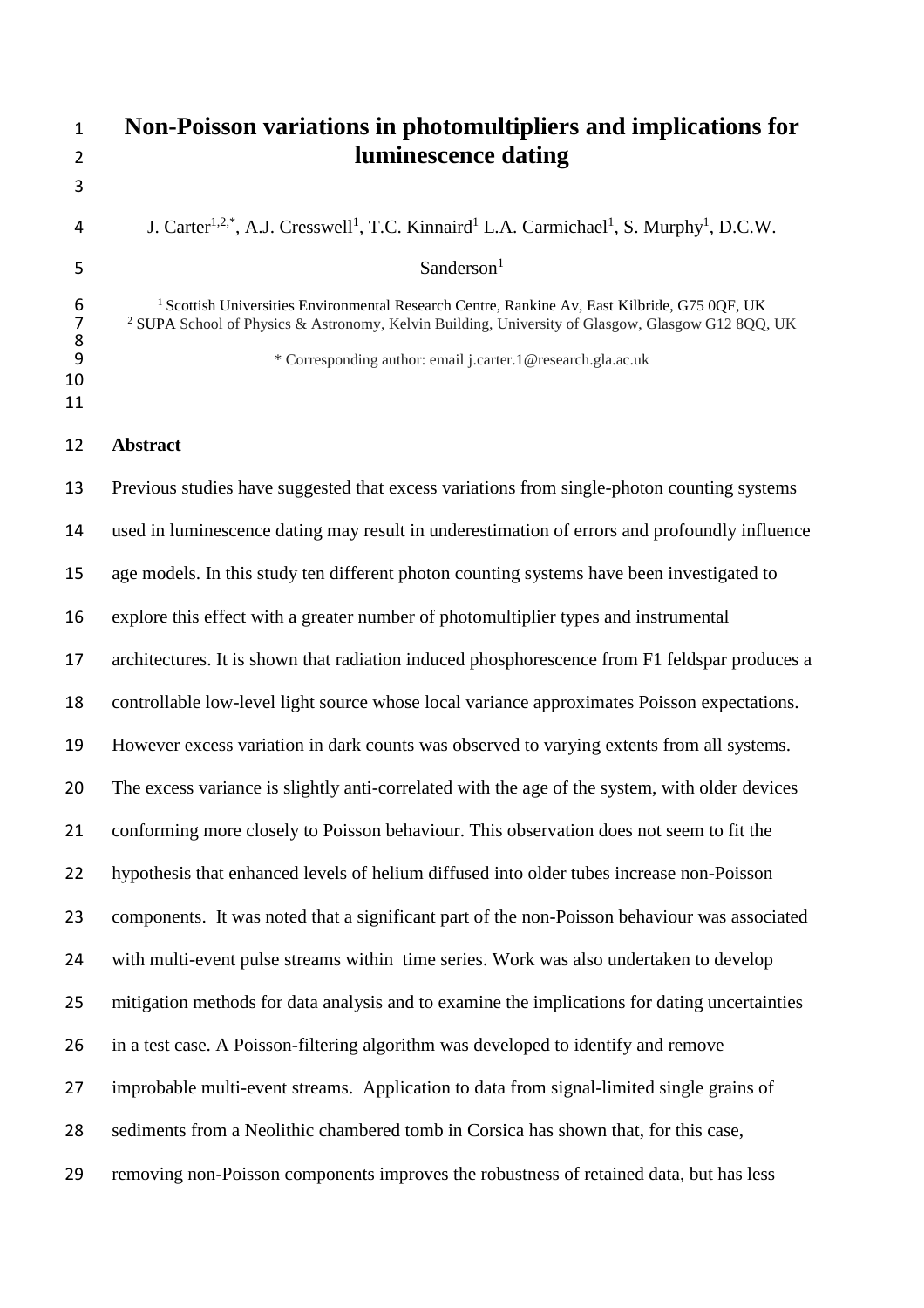| $\mathbf{1}$<br>$\overline{2}$                                                             | Non-Poisson variations in photomultipliers and implications for<br>luminescence dating                                                                                                                                                                                                  |
|--------------------------------------------------------------------------------------------|-----------------------------------------------------------------------------------------------------------------------------------------------------------------------------------------------------------------------------------------------------------------------------------------|
| 3                                                                                          |                                                                                                                                                                                                                                                                                         |
| 4                                                                                          | J. Carter <sup>1,2,*</sup> , A.J. Cresswell <sup>1</sup> , T.C. Kinnaird <sup>1</sup> L.A. Carmichael <sup>1</sup> , S. Murphy <sup>1</sup> , D.C.W.                                                                                                                                    |
| 5                                                                                          | Sanderson <sup>1</sup>                                                                                                                                                                                                                                                                  |
| $\begin{array}{c} 6 \\ 7 \end{array}$<br>$\begin{array}{c} 8 \\ 9 \end{array}$<br>10<br>11 | <sup>1</sup> Scottish Universities Environmental Research Centre, Rankine Av, East Kilbride, G75 0QF, UK<br><sup>2</sup> SUPA School of Physics & Astronomy, Kelvin Building, University of Glasgow, Glasgow G12 8QQ, UK<br>* Corresponding author: email j.carter.1@research.gla.ac.uk |
| 12                                                                                         | <b>Abstract</b>                                                                                                                                                                                                                                                                         |
| 13                                                                                         | Previous studies have suggested that excess variations from single-photon counting systems                                                                                                                                                                                              |
| 14                                                                                         | used in luminescence dating may result in underestimation of errors and profoundly influence                                                                                                                                                                                            |
| 15                                                                                         | age models. In this study ten different photon counting systems have been investigated to                                                                                                                                                                                               |
| 16                                                                                         | explore this effect with a greater number of photomultiplier types and instrumental                                                                                                                                                                                                     |
| 17                                                                                         | architectures. It is shown that radiation induced phosphorescence from F1 feldspar produces a                                                                                                                                                                                           |
| 18                                                                                         | controllable low-level light source whose local variance approximates Poisson expectations.                                                                                                                                                                                             |
| 19                                                                                         | However excess variation in dark counts was observed to varying extents from all systems.                                                                                                                                                                                               |
| 20                                                                                         | The excess variance is slightly anti-correlated with the age of the system, with older devices                                                                                                                                                                                          |
| 21                                                                                         | conforming more closely to Poisson behaviour. This observation does not seem to fit the                                                                                                                                                                                                 |
| 22                                                                                         | hypothesis that enhanced levels of helium diffused into older tubes increase non-Poisson                                                                                                                                                                                                |
| 23                                                                                         | components. It was noted that a significant part of the non-Poisson behaviour was associated                                                                                                                                                                                            |
| 24                                                                                         | with multi-event pulse streams within time series. Work was also undertaken to develop                                                                                                                                                                                                  |
| 25                                                                                         | mitigation methods for data analysis and to examine the implications for dating uncertainties                                                                                                                                                                                           |
| 26                                                                                         | in a test case. A Poisson-filtering algorithm was developed to identify and remove                                                                                                                                                                                                      |
| 27                                                                                         | improbable multi-event streams. Application to data from signal-limited single grains of                                                                                                                                                                                                |
| 28                                                                                         | sediments from a Neolithic chambered tomb in Corsica has shown that, for this case,                                                                                                                                                                                                     |
| 29                                                                                         | removing non-Poisson components improves the robustness of retained data, but has less                                                                                                                                                                                                  |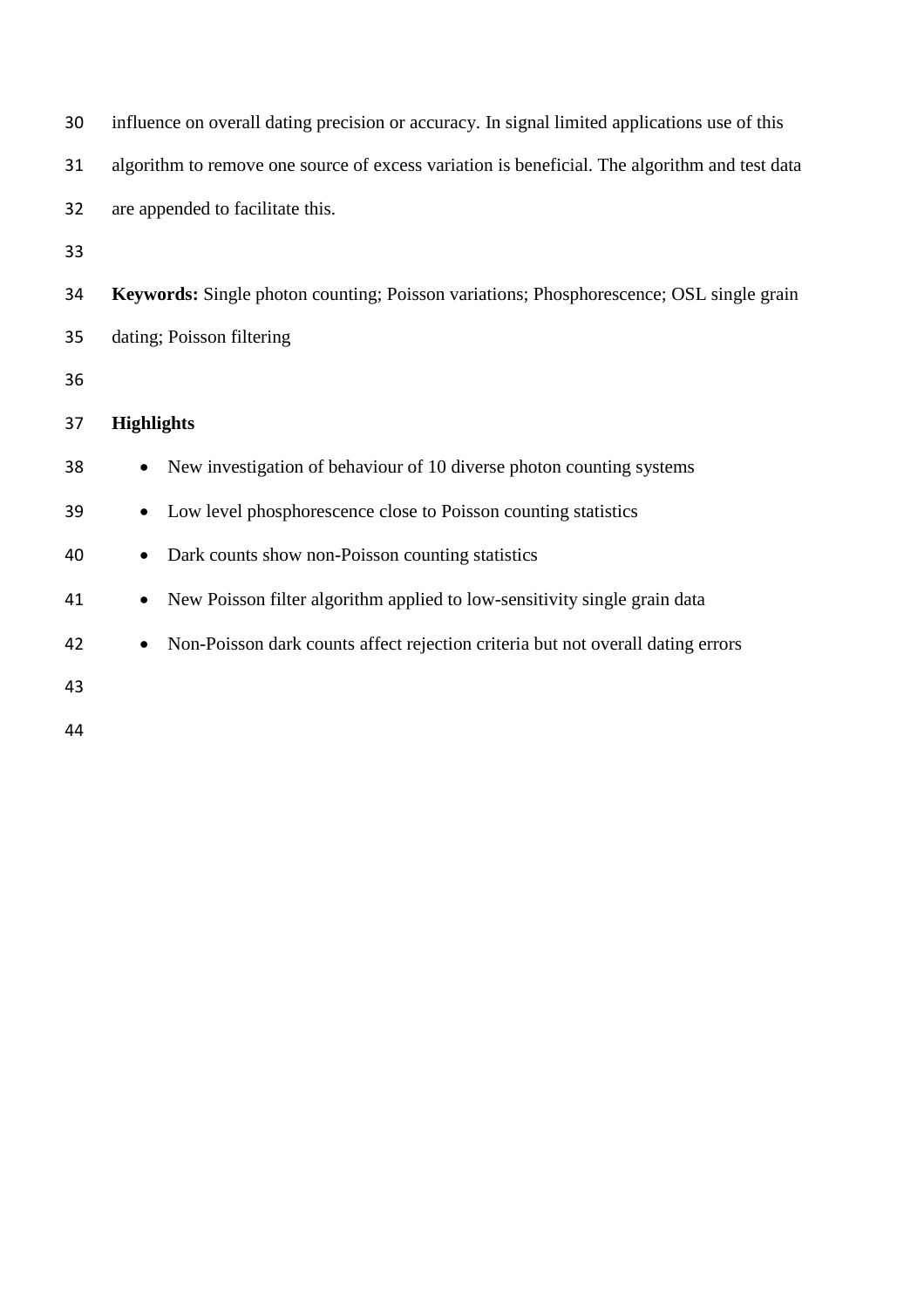| 30 | influence on overall dating precision or accuracy. In signal limited applications use of this |
|----|-----------------------------------------------------------------------------------------------|
| 31 | algorithm to remove one source of excess variation is beneficial. The algorithm and test data |
| 32 | are appended to facilitate this.                                                              |
| 33 |                                                                                               |
| 34 | Keywords: Single photon counting; Poisson variations; Phosphorescence; OSL single grain       |
| 35 | dating; Poisson filtering                                                                     |
| 36 |                                                                                               |
| 37 | <b>Highlights</b>                                                                             |
| 38 | New investigation of behaviour of 10 diverse photon counting systems                          |
| 39 | Low level phosphorescence close to Poisson counting statistics<br>$\bullet$                   |
| 40 | Dark counts show non-Poisson counting statistics<br>$\bullet$                                 |
| 41 | New Poisson filter algorithm applied to low-sensitivity single grain data<br>$\bullet$        |
| 42 | Non-Poisson dark counts affect rejection criteria but not overall dating errors<br>$\bullet$  |
| 43 |                                                                                               |
| 44 |                                                                                               |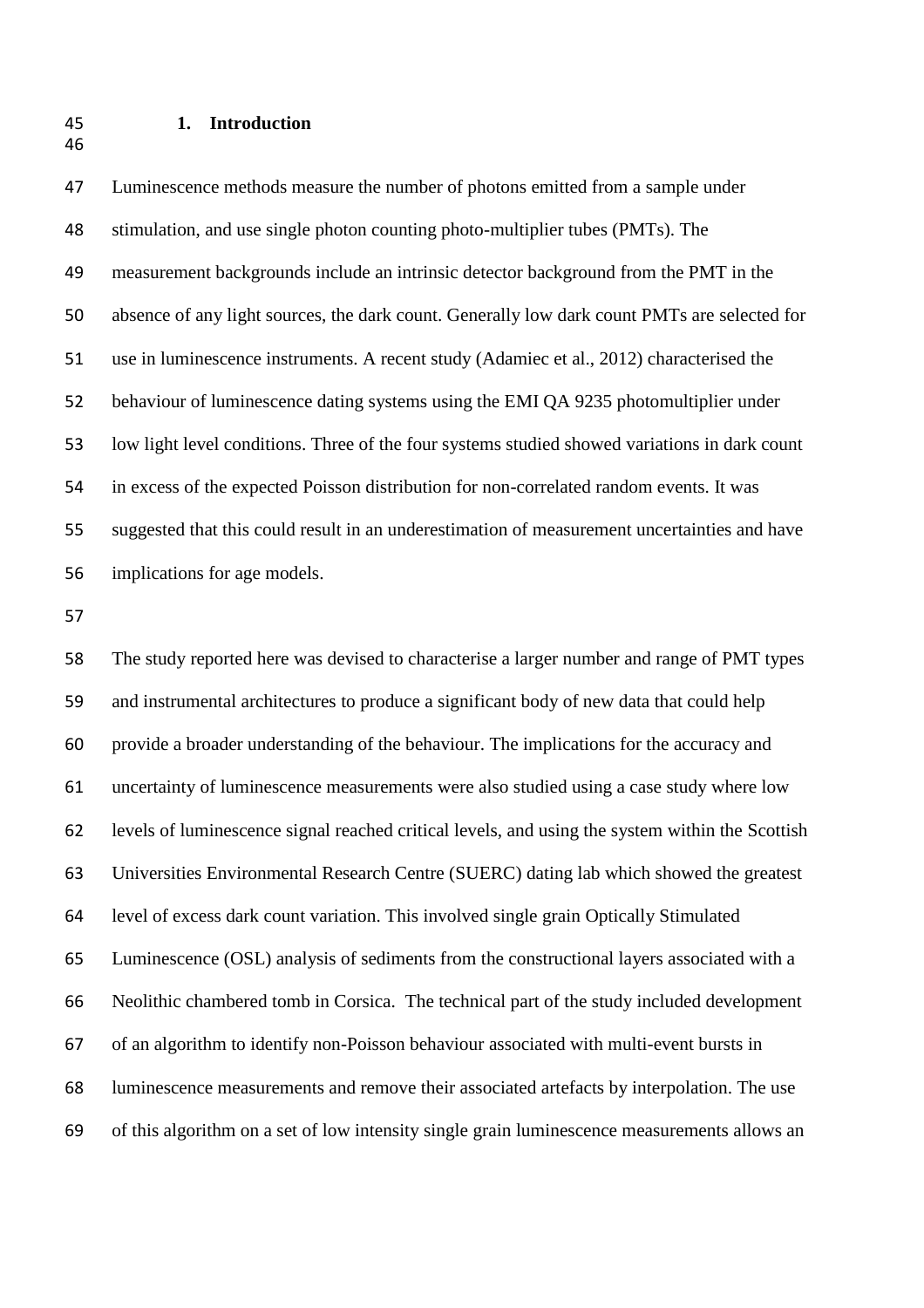## **1. Introduction**

 Luminescence methods measure the number of photons emitted from a sample under stimulation, and use single photon counting photo-multiplier tubes (PMTs). The measurement backgrounds include an intrinsic detector background from the PMT in the absence of any light sources, the dark count. Generally low dark count PMTs are selected for use in luminescence instruments. A recent study (Adamiec et al., 2012) characterised the behaviour of luminescence dating systems using the EMI QA 9235 photomultiplier under low light level conditions. Three of the four systems studied showed variations in dark count in excess of the expected Poisson distribution for non-correlated random events. It was suggested that this could result in an underestimation of measurement uncertainties and have implications for age models.

 The study reported here was devised to characterise a larger number and range of PMT types and instrumental architectures to produce a significant body of new data that could help provide a broader understanding of the behaviour. The implications for the accuracy and uncertainty of luminescence measurements were also studied using a case study where low levels of luminescence signal reached critical levels, and using the system within the Scottish Universities Environmental Research Centre (SUERC) dating lab which showed the greatest level of excess dark count variation. This involved single grain Optically Stimulated Luminescence (OSL) analysis of sediments from the constructional layers associated with a Neolithic chambered tomb in Corsica. The technical part of the study included development of an algorithm to identify non-Poisson behaviour associated with multi-event bursts in luminescence measurements and remove their associated artefacts by interpolation. The use of this algorithm on a set of low intensity single grain luminescence measurements allows an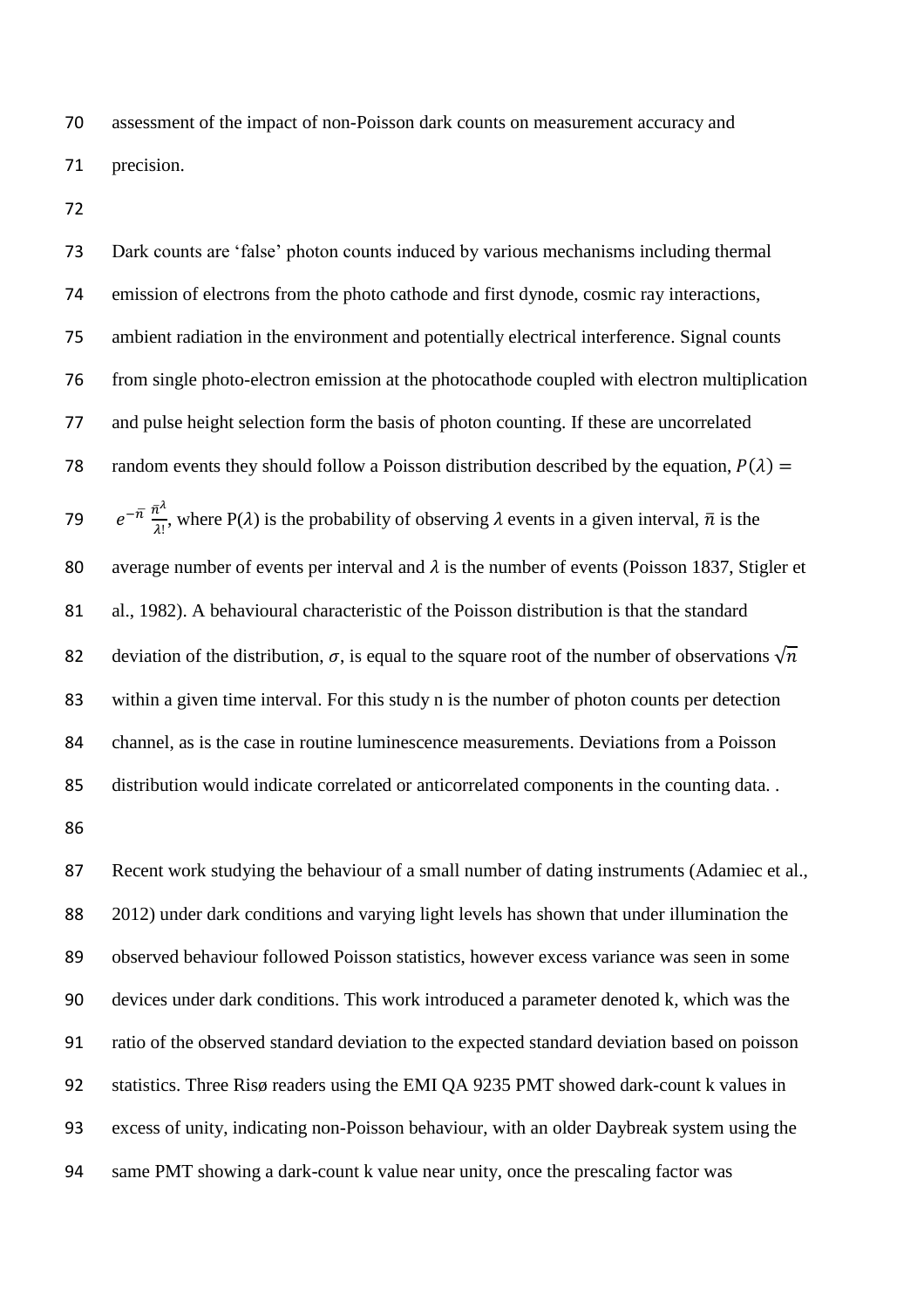assessment of the impact of non-Poisson dark counts on measurement accuracy and precision.

 Dark counts are 'false' photon counts induced by various mechanisms including thermal emission of electrons from the photo cathode and first dynode, cosmic ray interactions, ambient radiation in the environment and potentially electrical interference. Signal counts from single photo-electron emission at the photocathode coupled with electron multiplication and pulse height selection form the basis of photon counting. If these are uncorrelated 78 random events they should follow a Poisson distribution described by the equation,  $P(\lambda) =$  $e^{-\bar{\pi}} \frac{\bar{n}^{\lambda}}{2!}$  $e^{-n} \frac{n}{\lambda!}$ , where P( $\lambda$ ) is the probability of observing  $\lambda$  events in a given interval,  $\bar{n}$  is the 80 average number of events per interval and  $\lambda$  is the number of events (Poisson 1837, Stigler et al., 1982). A behavioural characteristic of the Poisson distribution is that the standard 82 deviation of the distribution,  $\sigma$ , is equal to the square root of the number of observations  $\sqrt{n}$  within a given time interval. For this study n is the number of photon counts per detection channel, as is the case in routine luminescence measurements. Deviations from a Poisson distribution would indicate correlated or anticorrelated components in the counting data. .

87 Recent work studying the behaviour of a small number of dating instruments (Adamiec et al., 2012) under dark conditions and varying light levels has shown that under illumination the observed behaviour followed Poisson statistics, however excess variance was seen in some devices under dark conditions. This work introduced a parameter denoted k, which was the ratio of the observed standard deviation to the expected standard deviation based on poisson statistics. Three Risø readers using the EMI QA 9235 PMT showed dark-count k values in excess of unity, indicating non-Poisson behaviour, with an older Daybreak system using the same PMT showing a dark-count k value near unity, once the prescaling factor was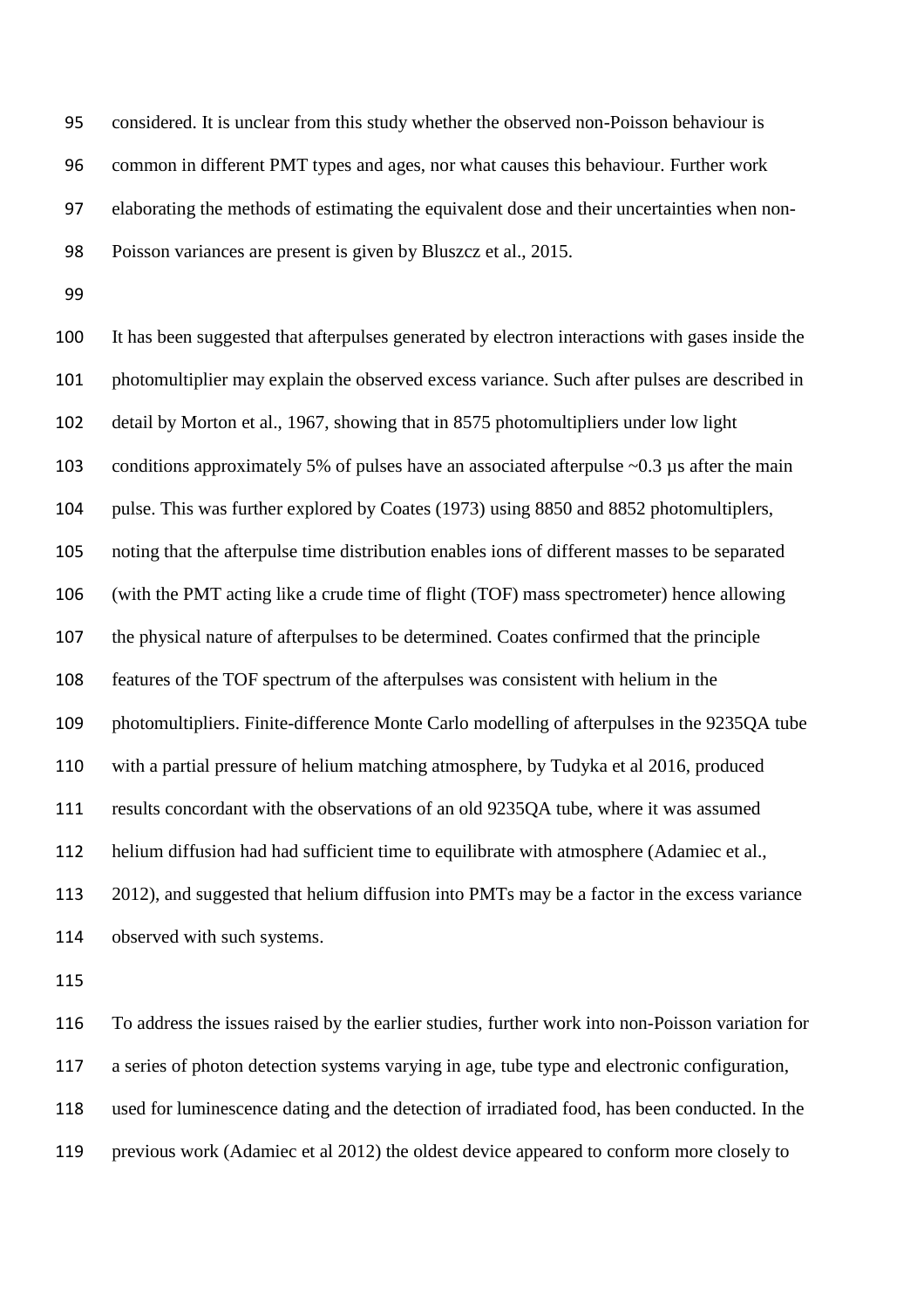considered. It is unclear from this study whether the observed non-Poisson behaviour is common in different PMT types and ages, nor what causes this behaviour. Further work elaborating the methods of estimating the equivalent dose and their uncertainties when non-Poisson variances are present is given by Bluszcz et al., 2015.

 It has been suggested that afterpulses generated by electron interactions with gases inside the photomultiplier may explain the observed excess variance. Such after pulses are described in detail by Morton et al., 1967, showing that in 8575 photomultipliers under low light 103 conditions approximately 5% of pulses have an associated afterpulse ~0.3 µs after the main pulse. This was further explored by Coates (1973) using 8850 and 8852 photomultiplers, noting that the afterpulse time distribution enables ions of different masses to be separated (with the PMT acting like a crude time of flight (TOF) mass spectrometer) hence allowing the physical nature of afterpulses to be determined. Coates confirmed that the principle features of the TOF spectrum of the afterpulses was consistent with helium in the photomultipliers. Finite-difference Monte Carlo modelling of afterpulses in the 9235QA tube with a partial pressure of helium matching atmosphere, by Tudyka et al 2016, produced results concordant with the observations of an old 9235QA tube, where it was assumed helium diffusion had had sufficient time to equilibrate with atmosphere (Adamiec et al., 2012), and suggested that helium diffusion into PMTs may be a factor in the excess variance observed with such systems.

 To address the issues raised by the earlier studies, further work into non-Poisson variation for a series of photon detection systems varying in age, tube type and electronic configuration, used for luminescence dating and the detection of irradiated food, has been conducted. In the previous work (Adamiec et al 2012) the oldest device appeared to conform more closely to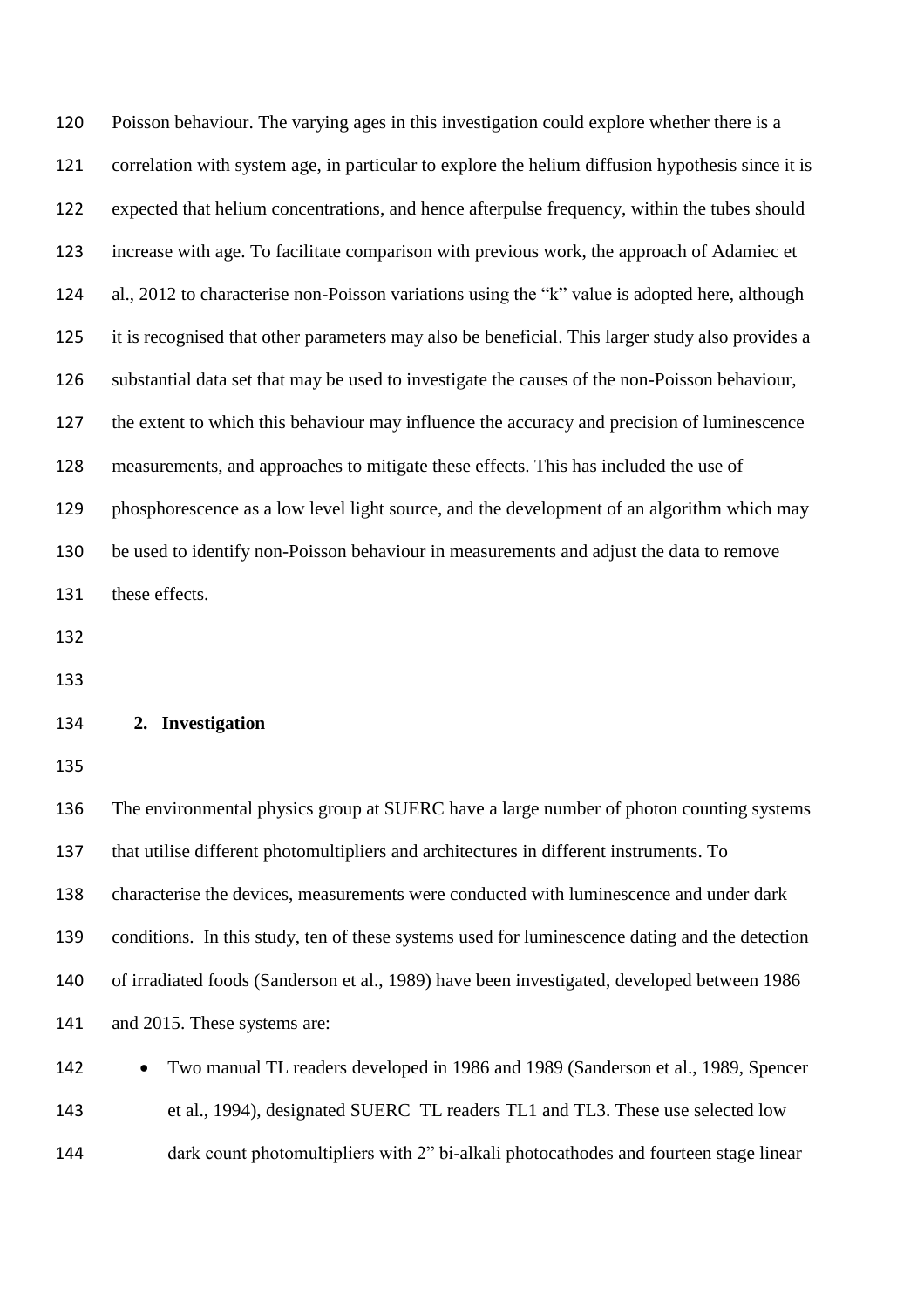Poisson behaviour. The varying ages in this investigation could explore whether there is a correlation with system age, in particular to explore the helium diffusion hypothesis since it is expected that helium concentrations, and hence afterpulse frequency, within the tubes should increase with age. To facilitate comparison with previous work, the approach of Adamiec et al., 2012 to characterise non-Poisson variations using the "k" value is adopted here, although it is recognised that other parameters may also be beneficial. This larger study also provides a substantial data set that may be used to investigate the causes of the non-Poisson behaviour, the extent to which this behaviour may influence the accuracy and precision of luminescence measurements, and approaches to mitigate these effects. This has included the use of phosphorescence as a low level light source, and the development of an algorithm which may be used to identify non-Poisson behaviour in measurements and adjust the data to remove these effects. 

# **2. Investigation**

 The environmental physics group at SUERC have a large number of photon counting systems that utilise different photomultipliers and architectures in different instruments. To characterise the devices, measurements were conducted with luminescence and under dark conditions. In this study, ten of these systems used for luminescence dating and the detection of irradiated foods (Sanderson et al., 1989) have been investigated, developed between 1986 and 2015. These systems are:

142 • Two manual TL readers developed in 1986 and 1989 (Sanderson et al., 1989, Spencer et al., 1994), designated SUERC TL readers TL1 and TL3. These use selected low dark count photomultipliers with 2" bi-alkali photocathodes and fourteen stage linear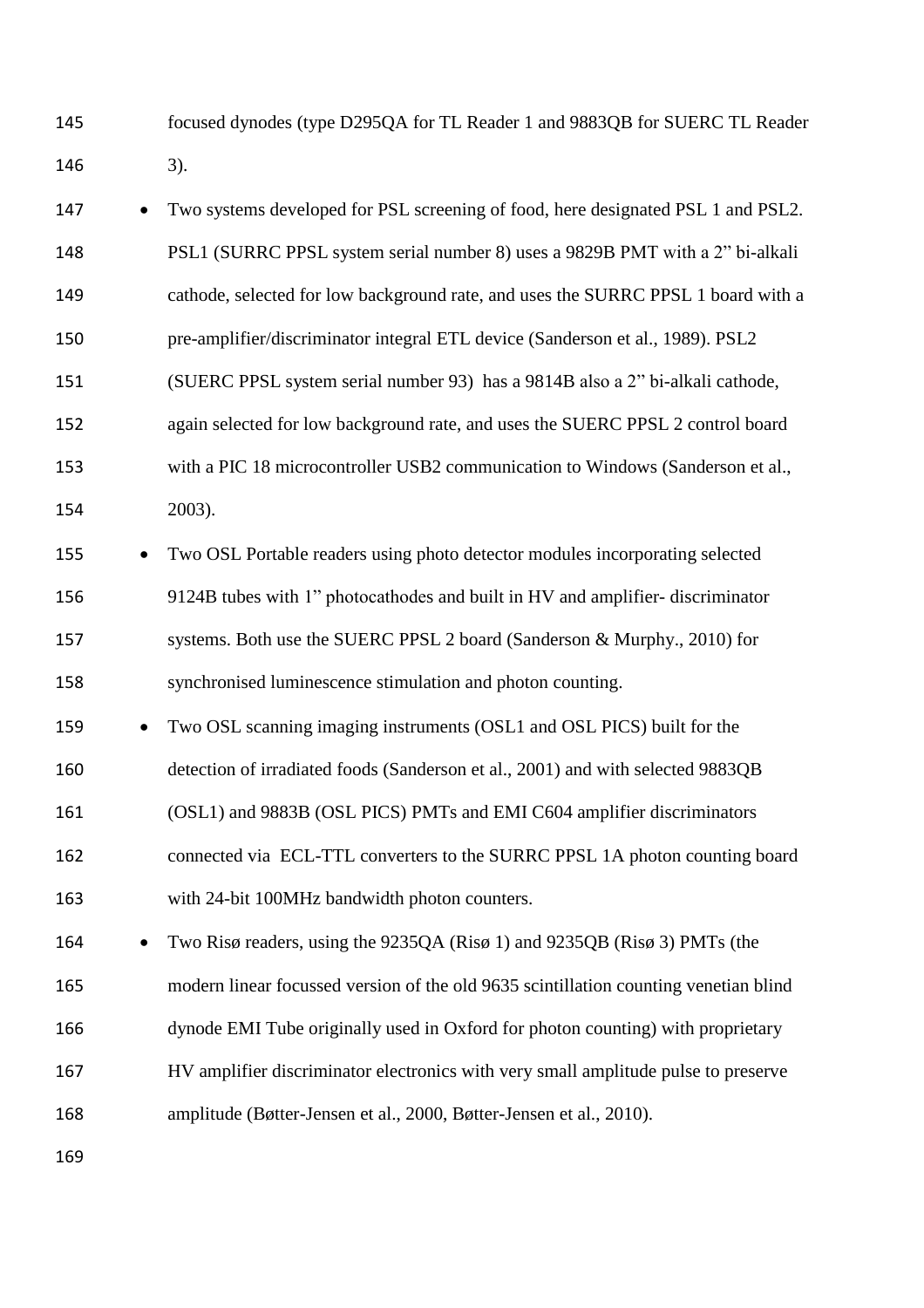focused dynodes (type D295QA for TL Reader 1 and 9883QB for SUERC TL Reader 3).

| 147 |           | Two systems developed for PSL screening of food, here designated PSL 1 and PSL2.     |
|-----|-----------|--------------------------------------------------------------------------------------|
| 148 |           | PSL1 (SURRC PPSL system serial number 8) uses a 9829B PMT with a 2" bi-alkali        |
| 149 |           | cathode, selected for low background rate, and uses the SURRC PPSL 1 board with a    |
| 150 |           | pre-amplifier/discriminator integral ETL device (Sanderson et al., 1989). PSL2       |
| 151 |           | (SUERC PPSL system serial number 93) has a 9814B also a 2" bi-alkali cathode,        |
| 152 |           | again selected for low background rate, and uses the SUERC PPSL 2 control board      |
| 153 |           | with a PIC 18 microcontroller USB2 communication to Windows (Sanderson et al.,       |
| 154 |           | 2003).                                                                               |
| 155 |           | Two OSL Portable readers using photo detector modules incorporating selected         |
| 156 |           | 9124B tubes with 1" photocathodes and built in HV and amplifier-discriminator        |
| 157 |           | systems. Both use the SUERC PPSL 2 board (Sanderson & Murphy., 2010) for             |
| 158 |           | synchronised luminescence stimulation and photon counting.                           |
| 159 | $\bullet$ | Two OSL scanning imaging instruments (OSL1 and OSL PICS) built for the               |
| 160 |           | detection of irradiated foods (Sanderson et al., 2001) and with selected 9883QB      |
| 161 |           | (OSL1) and 9883B (OSL PICS) PMTs and EMI C604 amplifier discriminators               |
| 162 |           | connected via ECL-TTL converters to the SURRC PPSL 1A photon counting board          |
| 163 |           | with 24-bit 100MHz bandwidth photon counters.                                        |
| 164 |           | Two Risø readers, using the 9235QA (Risø 1) and 9235QB (Risø 3) PMTs (the            |
| 165 |           | modern linear focussed version of the old 9635 scintillation counting venetian blind |
| 166 |           | dynode EMI Tube originally used in Oxford for photon counting) with proprietary      |
| 167 |           | HV amplifier discriminator electronics with very small amplitude pulse to preserve   |
| 168 |           | amplitude (Bøtter-Jensen et al., 2000, Bøtter-Jensen et al., 2010).                  |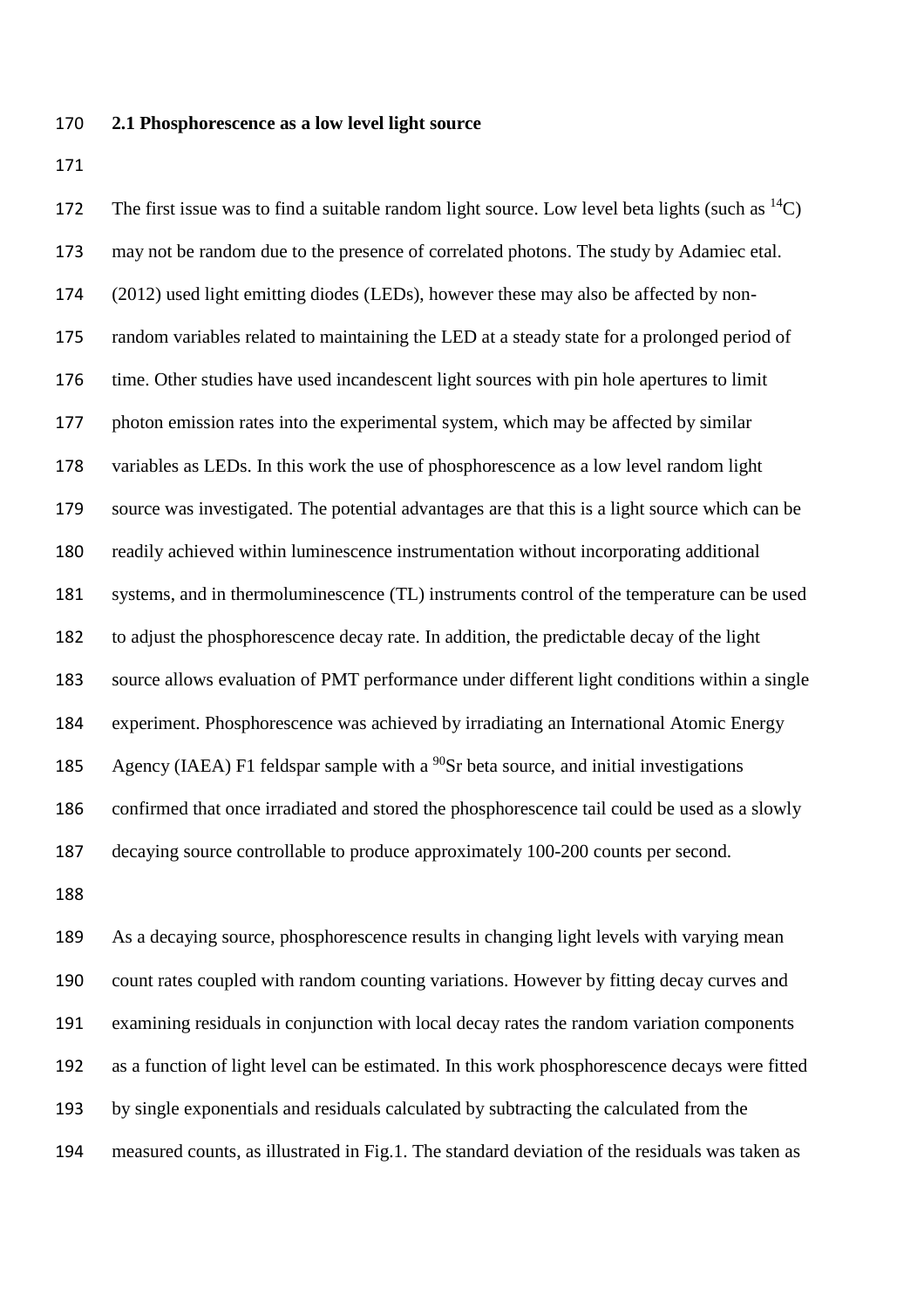## **2.1 Phosphorescence as a low level light source**

172 The first issue was to find a suitable random light source. Low level beta lights (such as  ${}^{14}C$ ) may not be random due to the presence of correlated photons. The study by Adamiec etal. (2012) used light emitting diodes (LEDs), however these may also be affected by non- random variables related to maintaining the LED at a steady state for a prolonged period of time. Other studies have used incandescent light sources with pin hole apertures to limit photon emission rates into the experimental system, which may be affected by similar variables as LEDs. In this work the use of phosphorescence as a low level random light source was investigated. The potential advantages are that this is a light source which can be readily achieved within luminescence instrumentation without incorporating additional systems, and in thermoluminescence (TL) instruments control of the temperature can be used to adjust the phosphorescence decay rate. In addition, the predictable decay of the light source allows evaluation of PMT performance under different light conditions within a single experiment. Phosphorescence was achieved by irradiating an International Atomic Energy Agency (IAEA) F1 feldspar sample with a  $^{90}$ Sr beta source, and initial investigations confirmed that once irradiated and stored the phosphorescence tail could be used as a slowly decaying source controllable to produce approximately 100-200 counts per second.

 As a decaying source, phosphorescence results in changing light levels with varying mean count rates coupled with random counting variations. However by fitting decay curves and examining residuals in conjunction with local decay rates the random variation components as a function of light level can be estimated. In this work phosphorescence decays were fitted by single exponentials and residuals calculated by subtracting the calculated from the measured counts, as illustrated in Fig.1. The standard deviation of the residuals was taken as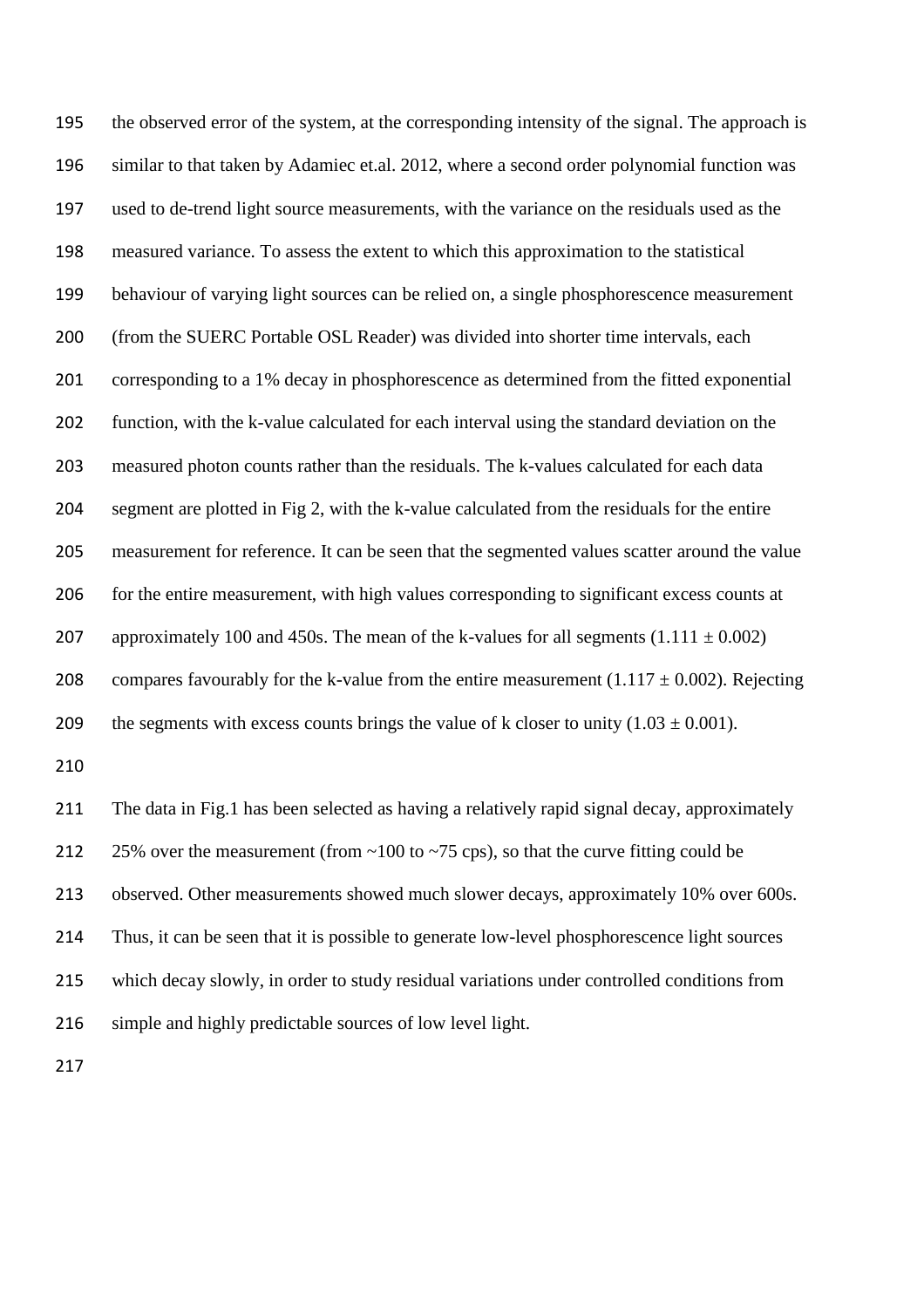the observed error of the system, at the corresponding intensity of the signal. The approach is similar to that taken by Adamiec et.al. 2012, where a second order polynomial function was used to de-trend light source measurements, with the variance on the residuals used as the measured variance. To assess the extent to which this approximation to the statistical behaviour of varying light sources can be relied on, a single phosphorescence measurement (from the SUERC Portable OSL Reader) was divided into shorter time intervals, each corresponding to a 1% decay in phosphorescence as determined from the fitted exponential function, with the k-value calculated for each interval using the standard deviation on the measured photon counts rather than the residuals. The k-values calculated for each data segment are plotted in Fig 2, with the k-value calculated from the residuals for the entire measurement for reference. It can be seen that the segmented values scatter around the value for the entire measurement, with high values corresponding to significant excess counts at 207 approximately 100 and 450s. The mean of the k-values for all segments  $(1.111 \pm 0.002)$ 208 compares favourably for the k-value from the entire measurement  $(1.117 \pm 0.002)$ . Rejecting 209 the segments with excess counts brings the value of k closer to unity  $(1.03 \pm 0.001)$ . The data in Fig.1 has been selected as having a relatively rapid signal decay, approximately 212 25% over the measurement (from  $\sim$ 100 to  $\sim$ 75 cps), so that the curve fitting could be observed. Other measurements showed much slower decays, approximately 10% over 600s. Thus, it can be seen that it is possible to generate low-level phosphorescence light sources which decay slowly, in order to study residual variations under controlled conditions from

216 simple and highly predictable sources of low level light.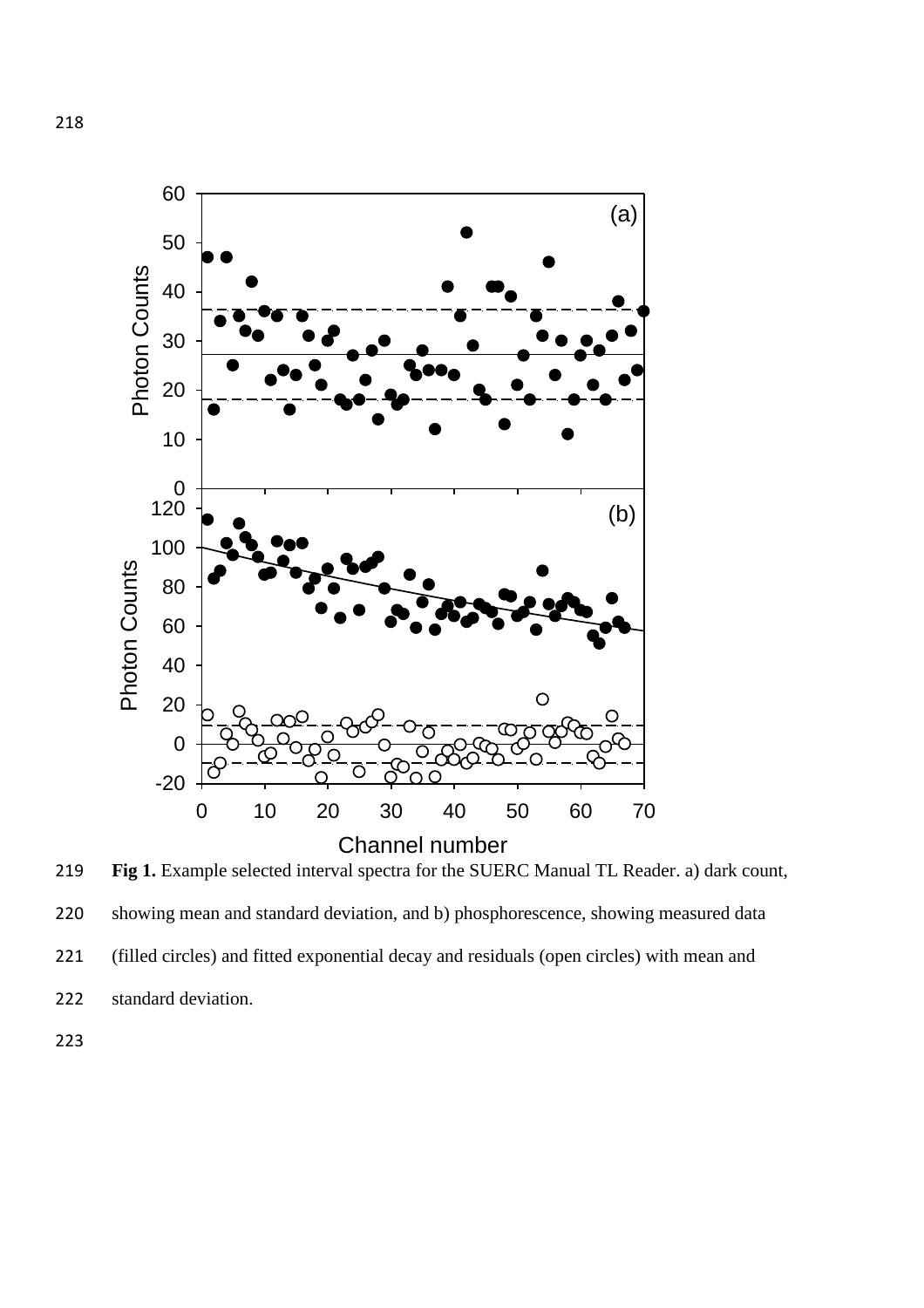



standard deviation.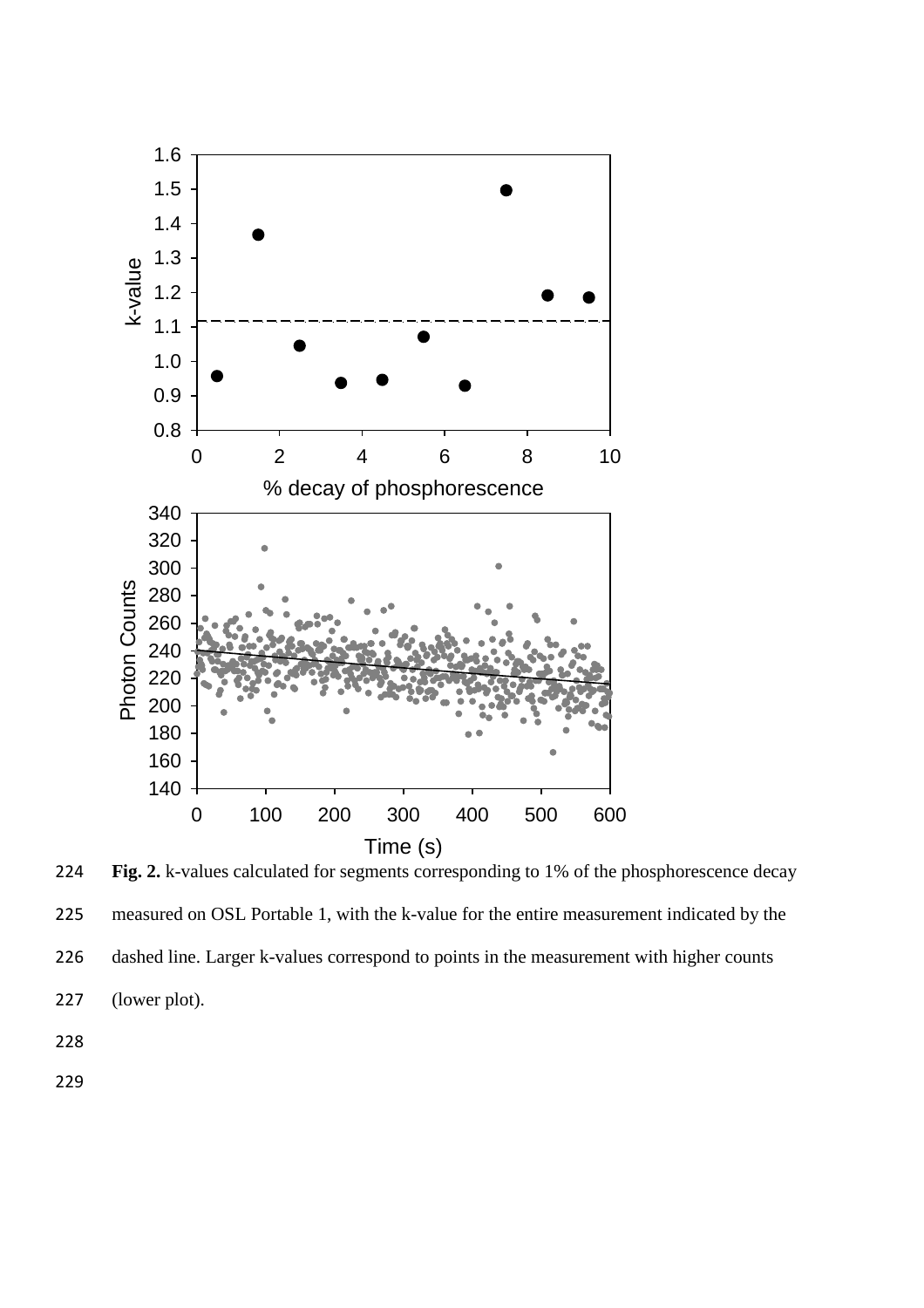

224 **Fig. 2.** k-values calculated for segments corresponding to 1% of the phosphorescence decay 225 measured on OSL Portable 1, with the k-value for the entire measurement indicated by the 226 dashed line. Larger k-values correspond to points in the measurement with higher counts 227 (lower plot).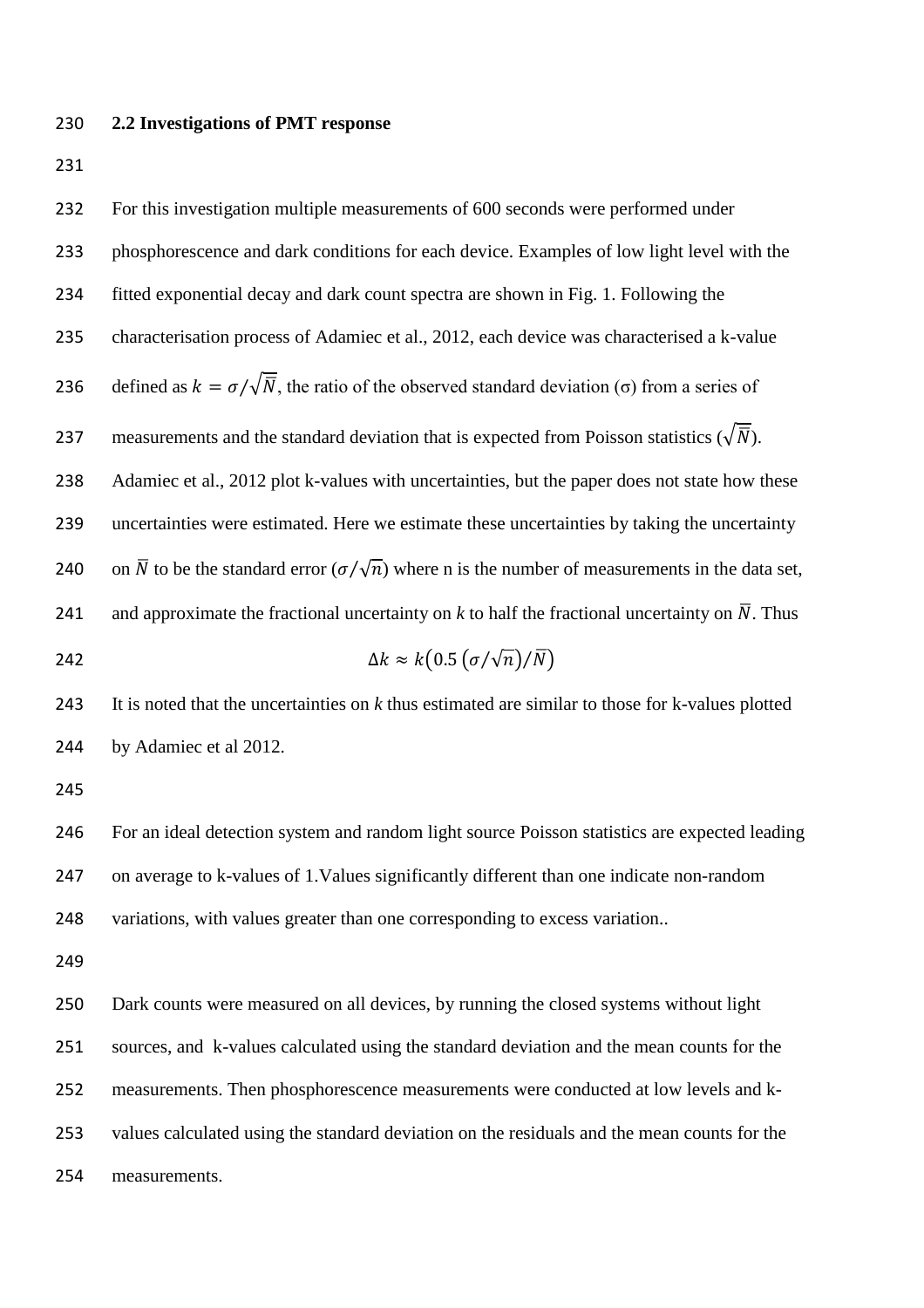## **2.2 Investigations of PMT response**

 For this investigation multiple measurements of 600 seconds were performed under phosphorescence and dark conditions for each device. Examples of low light level with the fitted exponential decay and dark count spectra are shown in Fig. 1. Following the characterisation process of Adamiec et al., 2012, each device was characterised a k-value 236 defined as  $k = \sigma / \sqrt{\overline{N}}$ , the ratio of the observed standard deviation ( $\sigma$ ) from a series of 237 measurements and the standard deviation that is expected from Poisson statistics ( $\sqrt{\overline{N}}$ ). 238 Adamiec et al., 2012 plot k-values with uncertainties, but the paper does not state how these uncertainties were estimated. Here we estimate these uncertainties by taking the uncertainty 240 on  $\overline{N}$  to be the standard error  $(\sigma/\sqrt{n})$  where n is the number of measurements in the data set, 241 and approximate the fractional uncertainty on  $k$  to half the fractional uncertainty on  $\overline{N}$ . Thus  $\Delta k \approx k \left(0.5 \left(\frac{\sigma}{\sqrt{n}}\right)/\overline{N}\right)$  It is noted that the uncertainties on *k* thus estimated are similar to those for k-values plotted by Adamiec et al 2012. For an ideal detection system and random light source Poisson statistics are expected leading on average to k-values of 1.Values significantly different than one indicate non-random variations, with values greater than one corresponding to excess variation.. Dark counts were measured on all devices, by running the closed systems without light sources, and k-values calculated using the standard deviation and the mean counts for the measurements. Then phosphorescence measurements were conducted at low levels and k- values calculated using the standard deviation on the residuals and the mean counts for the measurements.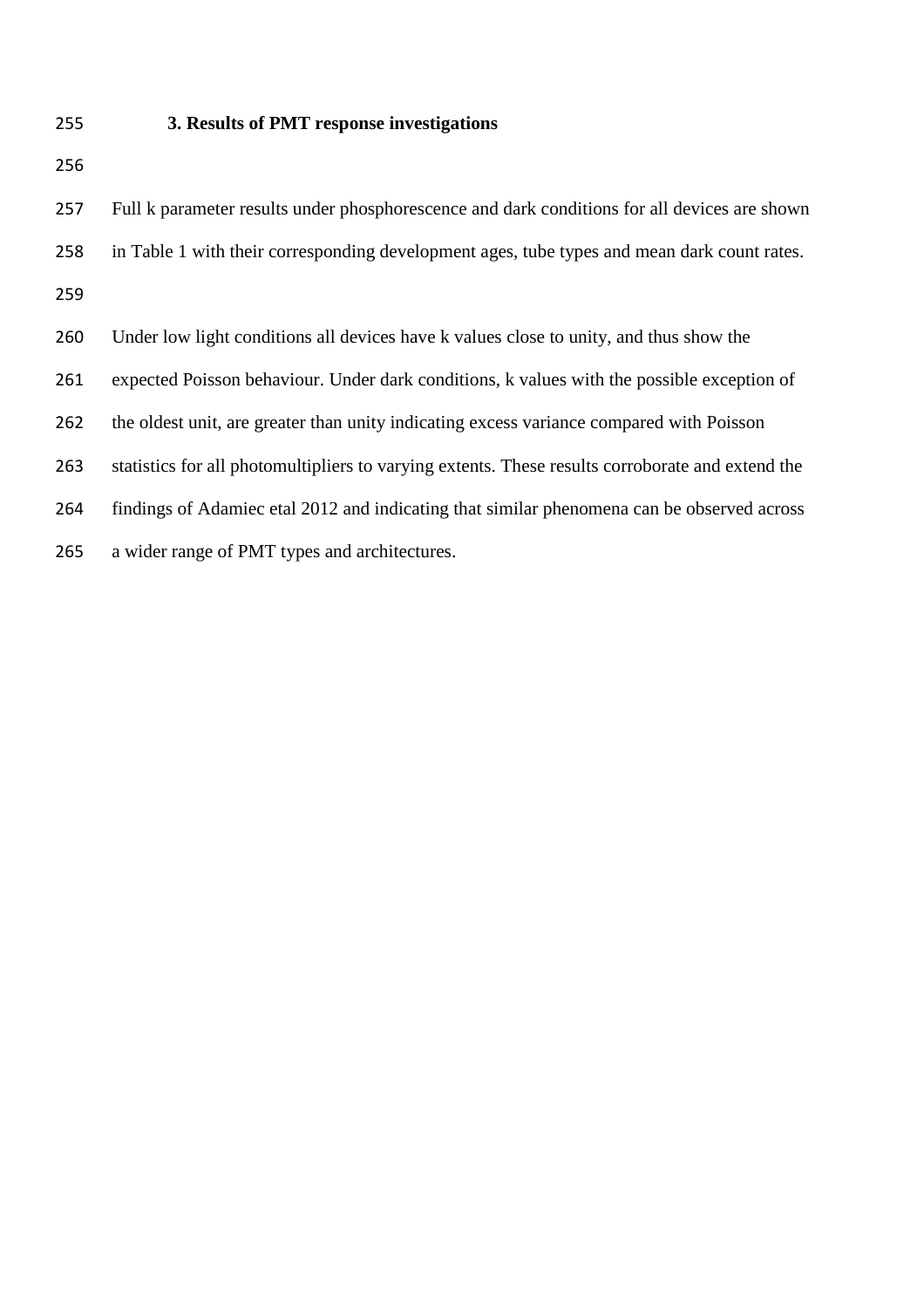## **3. Results of PMT response investigations**

 Full k parameter results under phosphorescence and dark conditions for all devices are shown in Table 1 with their corresponding development ages, tube types and mean dark count rates. Under low light conditions all devices have k values close to unity, and thus show the expected Poisson behaviour. Under dark conditions, k values with the possible exception of the oldest unit, are greater than unity indicating excess variance compared with Poisson statistics for all photomultipliers to varying extents. These results corroborate and extend the findings of Adamiec etal 2012 and indicating that similar phenomena can be observed across a wider range of PMT types and architectures.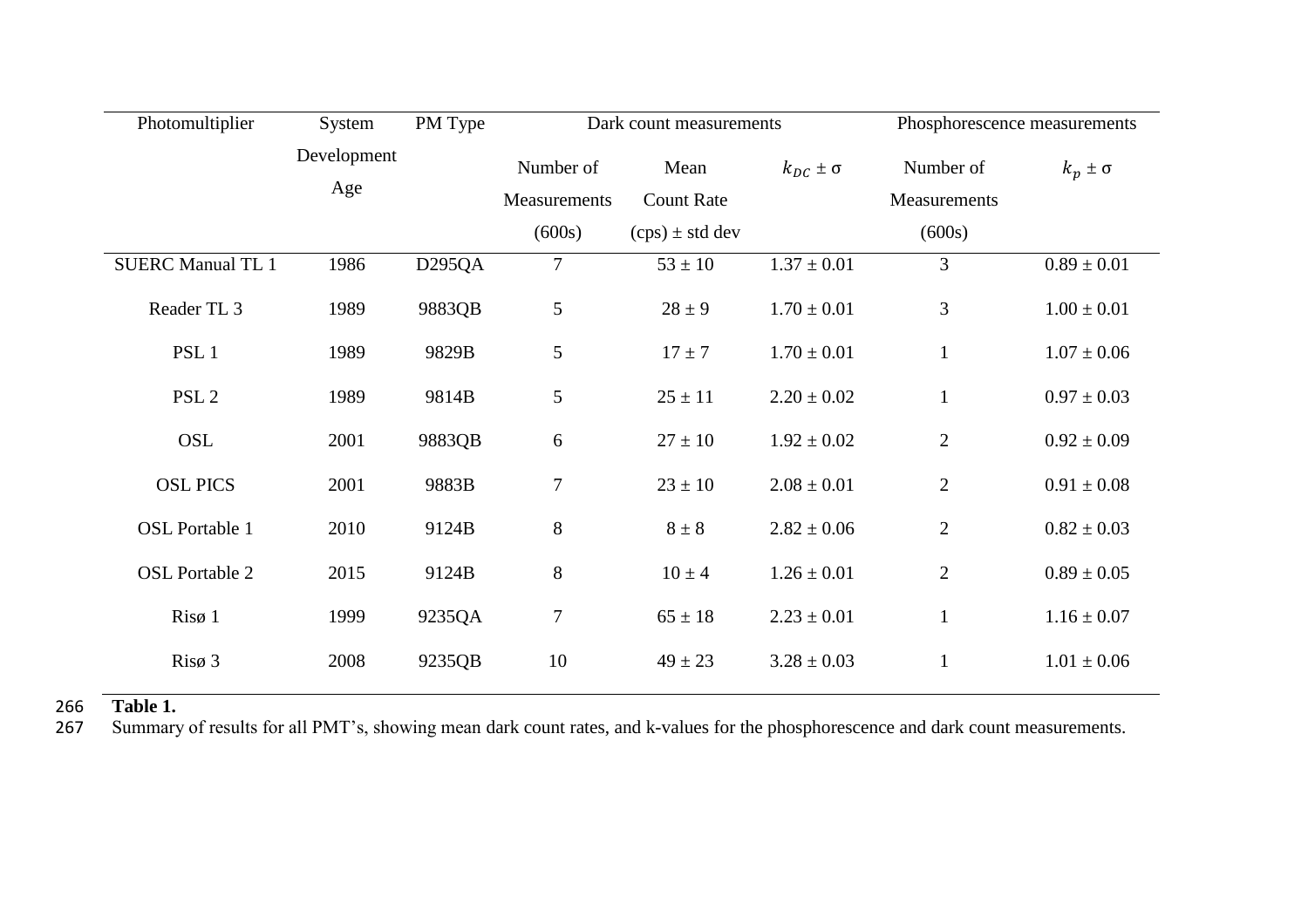| Photomultiplier          | System             | PM Type             | Dark count measurements   |                           | Phosphorescence measurements |                           |                  |
|--------------------------|--------------------|---------------------|---------------------------|---------------------------|------------------------------|---------------------------|------------------|
|                          | Development<br>Age |                     | Number of<br>Measurements | Mean<br><b>Count Rate</b> | $k_{DC} \pm \sigma$          | Number of<br>Measurements | $k_p \pm \sigma$ |
|                          |                    |                     | (600s)                    | $(cps) \pm std$ dev       |                              | (600s)                    |                  |
| <b>SUERC Manual TL 1</b> | 1986               | D <sub>295</sub> QA | $\tau$                    | $53 \pm 10$               | $1.37 \pm 0.01$              | 3                         | $0.89 \pm 0.01$  |
| Reader TL <sub>3</sub>   | 1989               | 9883QB              | 5                         | $28 \pm 9$                | $1.70 \pm 0.01$              | 3                         | $1.00 \pm 0.01$  |
| PSL <sub>1</sub>         | 1989               | 9829B               | 5                         | $17 \pm 7$                | $1.70 \pm 0.01$              | $\mathbf{1}$              | $1.07 \pm 0.06$  |
| PSL <sub>2</sub>         | 1989               | 9814B               | 5                         | $25 \pm 11$               | $2.20 \pm 0.02$              | $\mathbf{1}$              | $0.97 \pm 0.03$  |
| OSL                      | 2001               | 9883QB              | 6                         | $27 \pm 10$               | $1.92 \pm 0.02$              | $\mathbf{2}$              | $0.92 \pm 0.09$  |
| <b>OSL PICS</b>          | 2001               | 9883B               | $\tau$                    | $23 \pm 10$               | $2.08 \pm 0.01$              | $\overline{2}$            | $0.91 \pm 0.08$  |
| <b>OSL Portable 1</b>    | 2010               | 9124B               | $8\,$                     | $8 \pm 8$                 | $2.82 \pm 0.06$              | $\mathfrak{2}$            | $0.82 \pm 0.03$  |
| <b>OSL Portable 2</b>    | 2015               | 9124B               | 8                         | $10 \pm 4$                | $1.26 \pm 0.01$              | $\mathbf{2}$              | $0.89 \pm 0.05$  |
| $Ris\varnothing$ 1       | 1999               | 9235QA              | $\tau$                    | $65 \pm 18$               | $2.23 \pm 0.01$              | $\mathbf{1}$              | $1.16 \pm 0.07$  |
| Risø 3                   | 2008               | 9235QB              | 10                        | $49 \pm 23$               | $3.28 \pm 0.03$              | $\mathbf{1}$              | $1.01 \pm 0.06$  |

266 **Table 1.** Summary of results for all PMT's, showing mean dark count rates, and k-values for the phosphorescence and dark count measurements.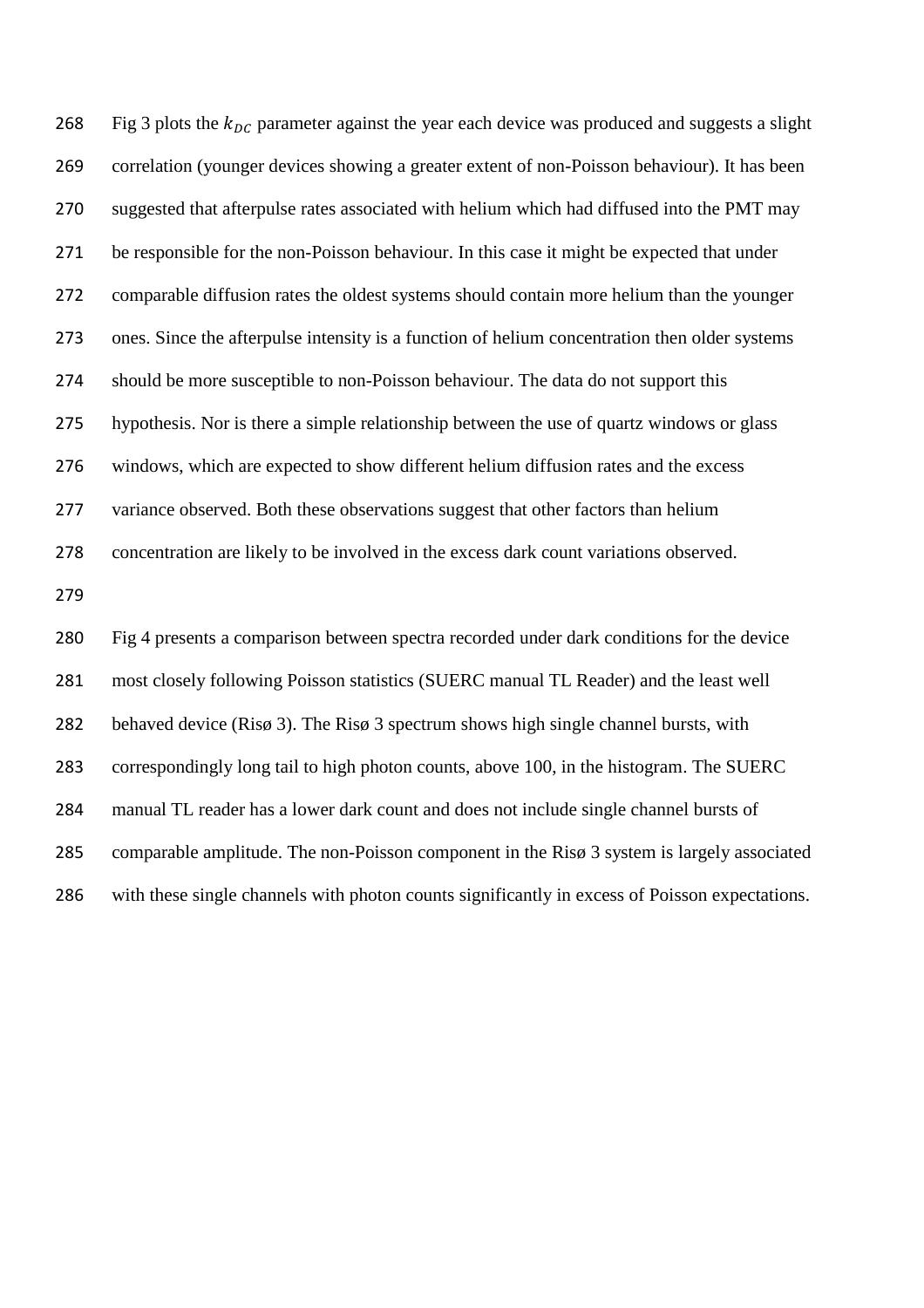268 Fig 3 plots the  $k_{DC}$  parameter against the year each device was produced and suggests a slight correlation (younger devices showing a greater extent of non-Poisson behaviour). It has been suggested that afterpulse rates associated with helium which had diffused into the PMT may be responsible for the non-Poisson behaviour. In this case it might be expected that under comparable diffusion rates the oldest systems should contain more helium than the younger ones. Since the afterpulse intensity is a function of helium concentration then older systems should be more susceptible to non-Poisson behaviour. The data do not support this hypothesis. Nor is there a simple relationship between the use of quartz windows or glass windows, which are expected to show different helium diffusion rates and the excess variance observed. Both these observations suggest that other factors than helium concentration are likely to be involved in the excess dark count variations observed. Fig 4 presents a comparison between spectra recorded under dark conditions for the device most closely following Poisson statistics (SUERC manual TL Reader) and the least well behaved device (Risø 3). The Risø 3 spectrum shows high single channel bursts, with correspondingly long tail to high photon counts, above 100, in the histogram. The SUERC manual TL reader has a lower dark count and does not include single channel bursts of comparable amplitude. The non-Poisson component in the Risø 3 system is largely associated with these single channels with photon counts significantly in excess of Poisson expectations.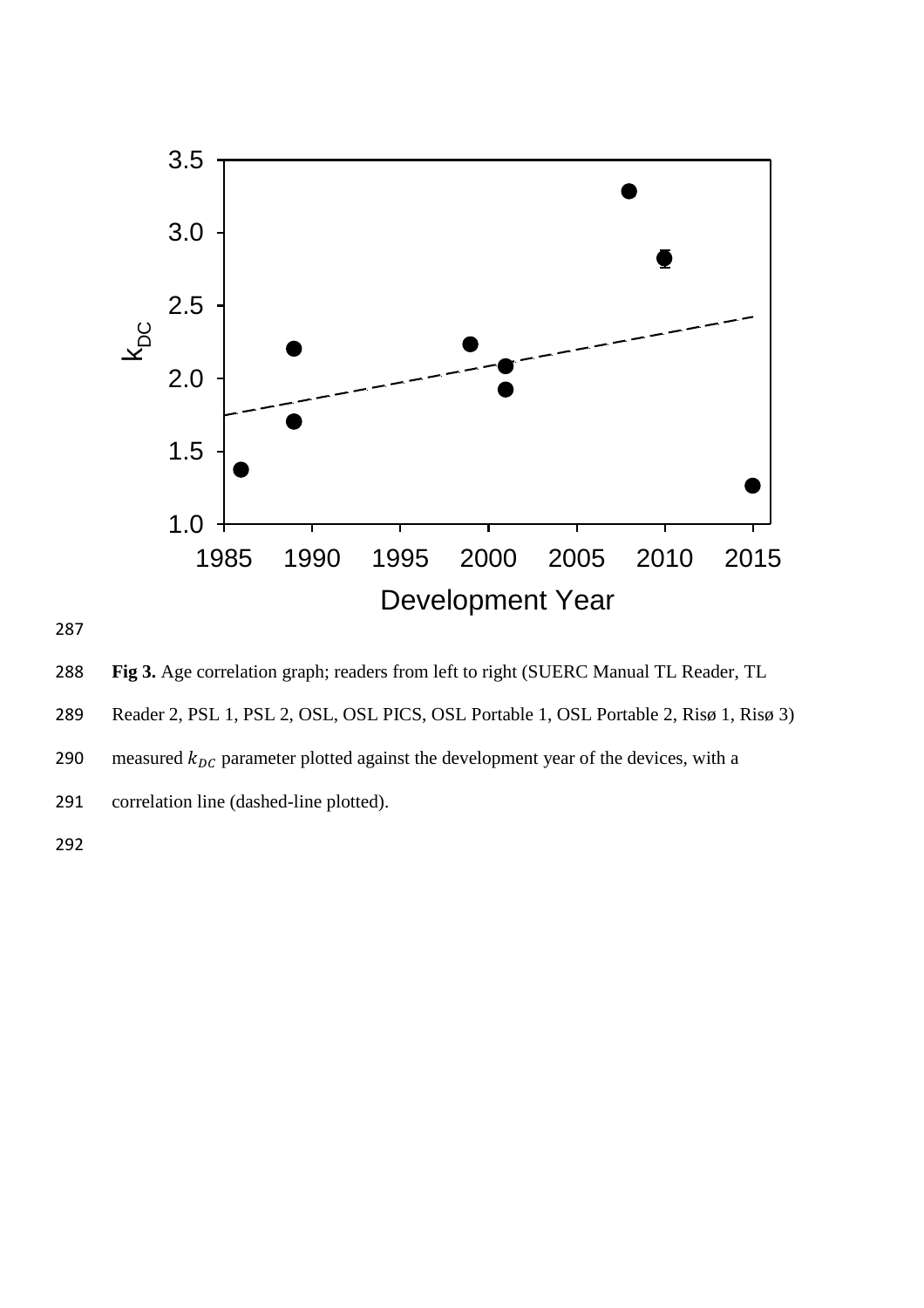

288 **Fig 3.** Age correlation graph; readers from left to right (SUERC Manual TL Reader, TL

289 Reader 2, PSL 1, PSL 2, OSL, OSL PICS, OSL Portable 1, OSL Portable 2, Risø 1, Risø 3)

290 measured  $k_{DC}$  parameter plotted against the development year of the devices, with a

291 correlation line (dashed-line plotted).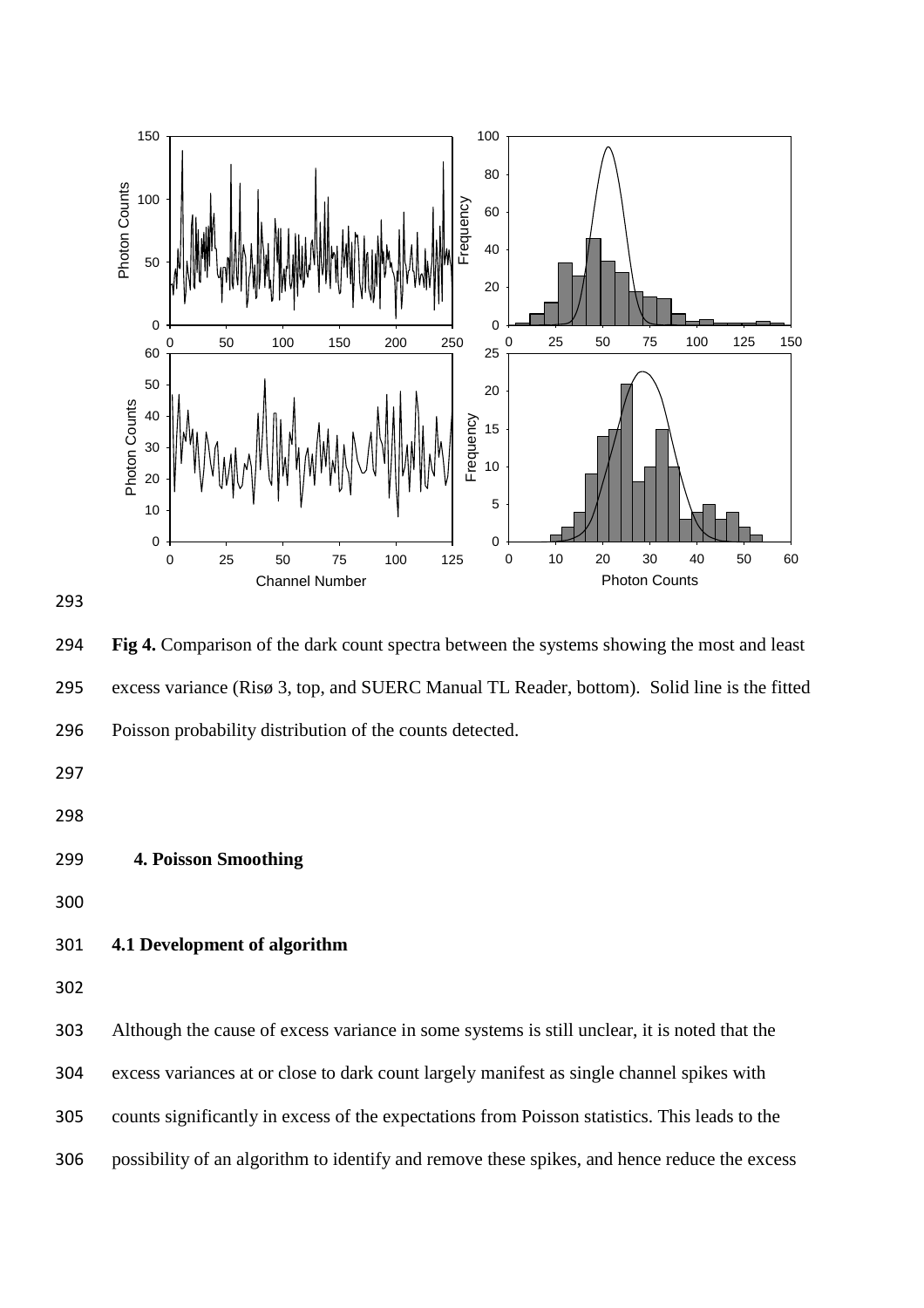

 **Fig 4.** Comparison of the dark count spectra between the systems showing the most and least excess variance (Risø 3, top, and SUERC Manual TL Reader, bottom). Solid line is the fitted Poisson probability distribution of the counts detected.

- **4. Poisson Smoothing**
- 

# **4.1 Development of algorithm**

Although the cause of excess variance in some systems is still unclear, it is noted that the

excess variances at or close to dark count largely manifest as single channel spikes with

counts significantly in excess of the expectations from Poisson statistics. This leads to the

possibility of an algorithm to identify and remove these spikes, and hence reduce the excess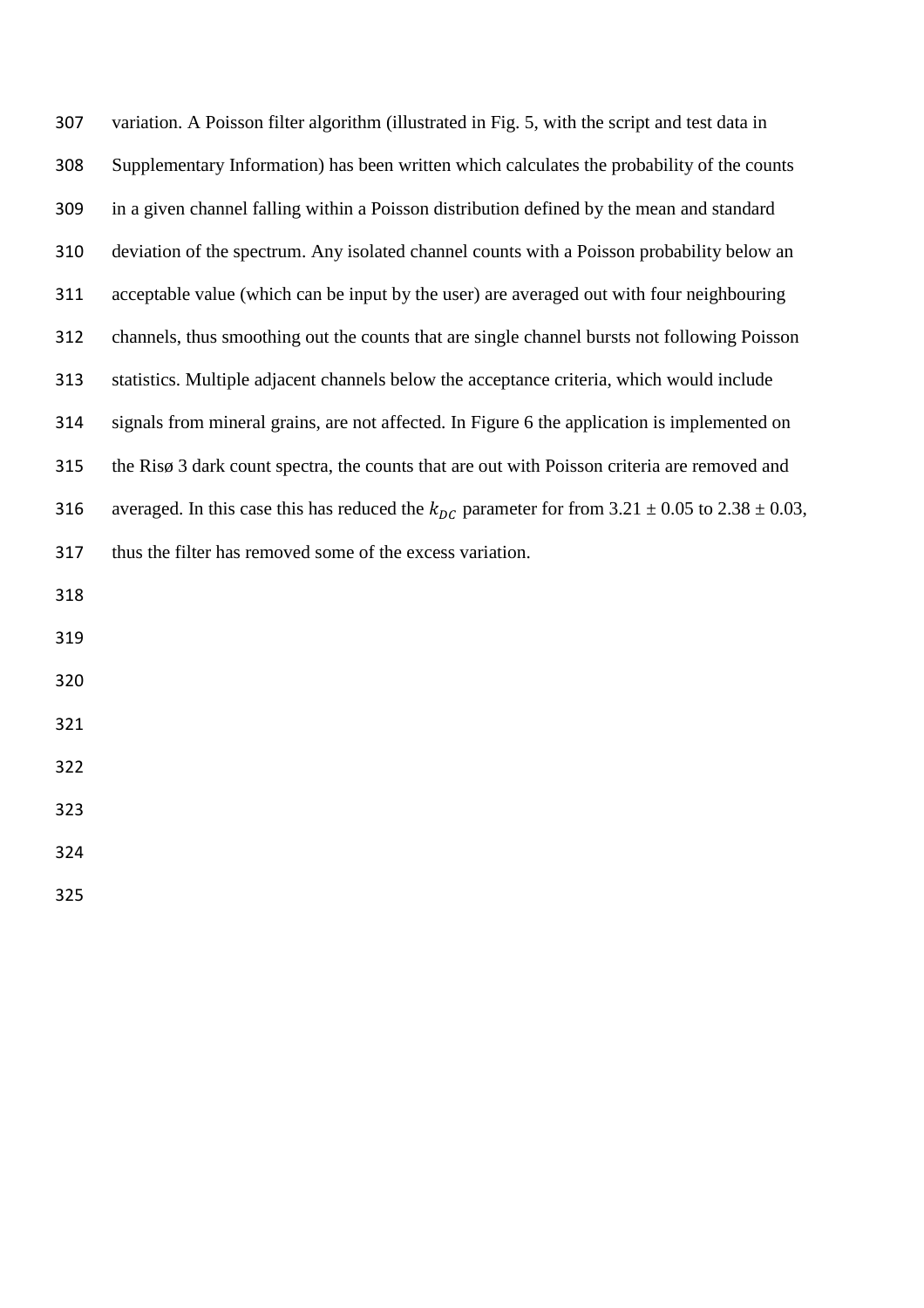| 307 | variation. A Poisson filter algorithm (illustrated in Fig. 5, with the script and test data in              |
|-----|-------------------------------------------------------------------------------------------------------------|
| 308 | Supplementary Information) has been written which calculates the probability of the counts                  |
| 309 | in a given channel falling within a Poisson distribution defined by the mean and standard                   |
| 310 | deviation of the spectrum. Any isolated channel counts with a Poisson probability below an                  |
| 311 | acceptable value (which can be input by the user) are averaged out with four neighbouring                   |
| 312 | channels, thus smoothing out the counts that are single channel bursts not following Poisson                |
| 313 | statistics. Multiple adjacent channels below the acceptance criteria, which would include                   |
| 314 | signals from mineral grains, are not affected. In Figure 6 the application is implemented on                |
| 315 | the Risø 3 dark count spectra, the counts that are out with Poisson criteria are removed and                |
| 316 | averaged. In this case this has reduced the $k_{DC}$ parameter for from 3.21 $\pm$ 0.05 to 2.38 $\pm$ 0.03, |
| 317 | thus the filter has removed some of the excess variation.                                                   |
| 318 |                                                                                                             |
| 319 |                                                                                                             |
| 320 |                                                                                                             |
| 321 |                                                                                                             |
| 322 |                                                                                                             |
| 323 |                                                                                                             |
| 324 |                                                                                                             |
| 325 |                                                                                                             |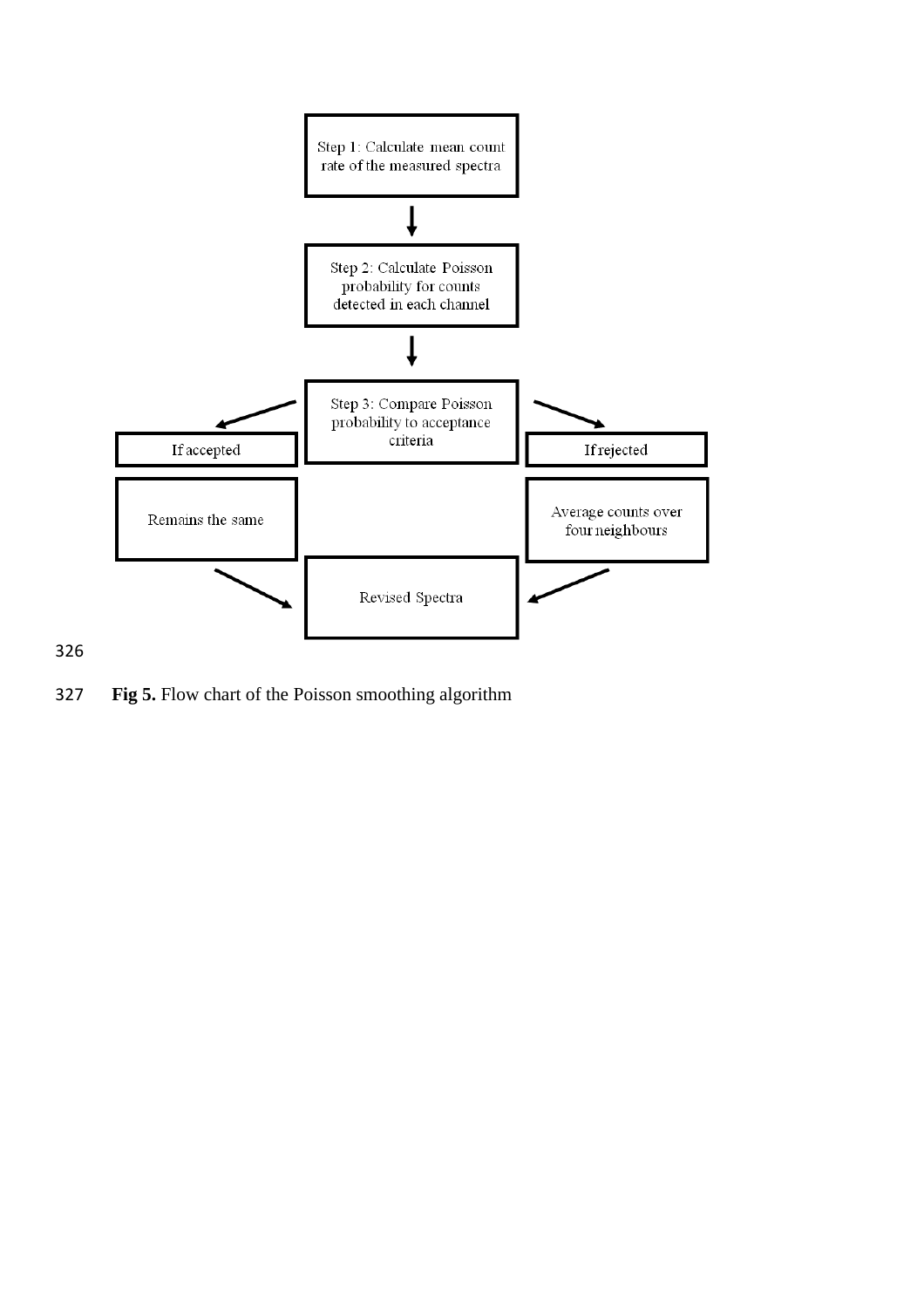

**Fig 5.** Flow chart of the Poisson smoothing algorithm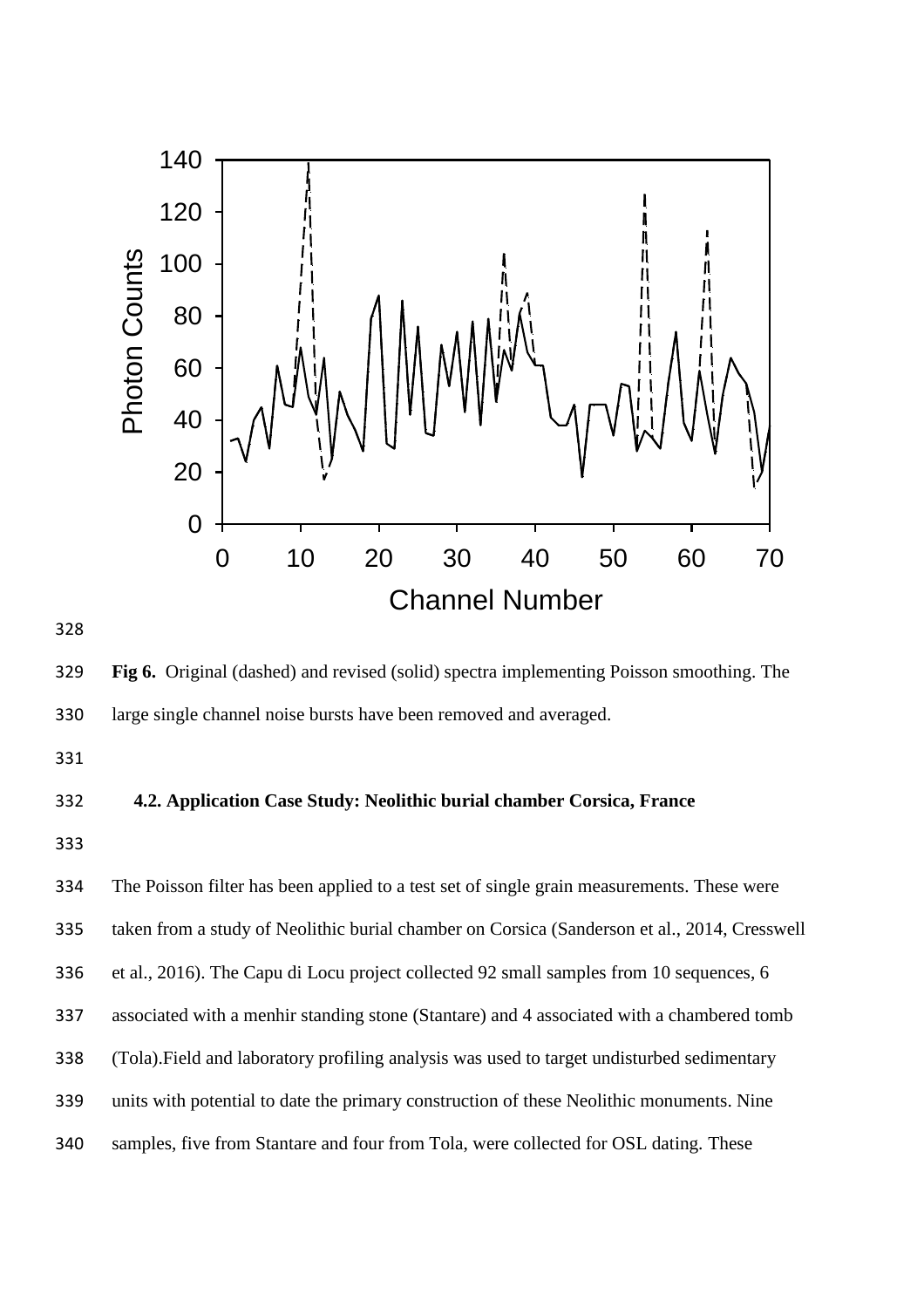

 **Fig 6.** Original (dashed) and revised (solid) spectra implementing Poisson smoothing. The large single channel noise bursts have been removed and averaged.

## **4.2. Application Case Study: Neolithic burial chamber Corsica, France**

 The Poisson filter has been applied to a test set of single grain measurements. These were taken from a study of Neolithic burial chamber on Corsica (Sanderson et al., 2014, Cresswell et al., 2016). The Capu di Locu project collected 92 small samples from 10 sequences, 6 associated with a menhir standing stone (Stantare) and 4 associated with a chambered tomb (Tola).Field and laboratory profiling analysis was used to target undisturbed sedimentary units with potential to date the primary construction of these Neolithic monuments. Nine samples, five from Stantare and four from Tola, were collected for OSL dating. These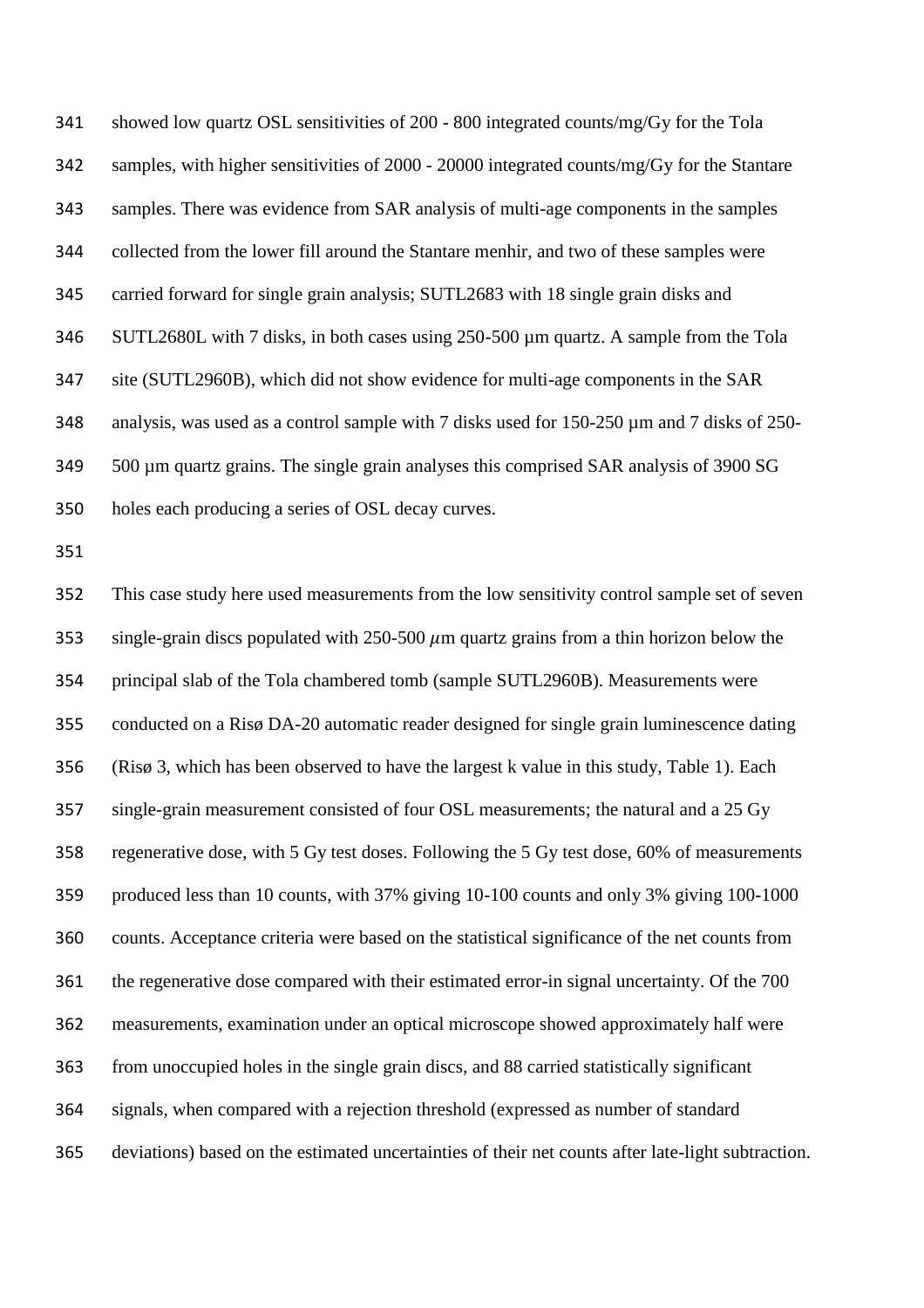showed low quartz OSL sensitivities of 200 - 800 integrated counts/mg/Gy for the Tola samples, with higher sensitivities of 2000 - 20000 integrated counts/mg/Gy for the Stantare samples. There was evidence from SAR analysis of multi-age components in the samples collected from the lower fill around the Stantare menhir, and two of these samples were carried forward for single grain analysis; SUTL2683 with 18 single grain disks and SUTL2680L with 7 disks, in both cases using 250-500 µm quartz. A sample from the Tola site (SUTL2960B), which did not show evidence for multi-age components in the SAR analysis, was used as a control sample with 7 disks used for 150-250 µm and 7 disks of 250- 500 µm quartz grains. The single grain analyses this comprised SAR analysis of 3900 SG holes each producing a series of OSL decay curves.

 This case study here used measurements from the low sensitivity control sample set of seven 353 single-grain discs populated with  $250-500 \mu m$  quartz grains from a thin horizon below the principal slab of the Tola chambered tomb (sample SUTL2960B). Measurements were conducted on a Risø DA-20 automatic reader designed for single grain luminescence dating (Risø 3, which has been observed to have the largest k value in this study, Table 1). Each single-grain measurement consisted of four OSL measurements; the natural and a 25 Gy regenerative dose, with 5 Gy test doses. Following the 5 Gy test dose, 60% of measurements produced less than 10 counts, with 37% giving 10-100 counts and only 3% giving 100-1000 counts. Acceptance criteria were based on the statistical significance of the net counts from the regenerative dose compared with their estimated error-in signal uncertainty. Of the 700 measurements, examination under an optical microscope showed approximately half were from unoccupied holes in the single grain discs, and 88 carried statistically significant signals, when compared with a rejection threshold (expressed as number of standard deviations) based on the estimated uncertainties of their net counts after late-light subtraction.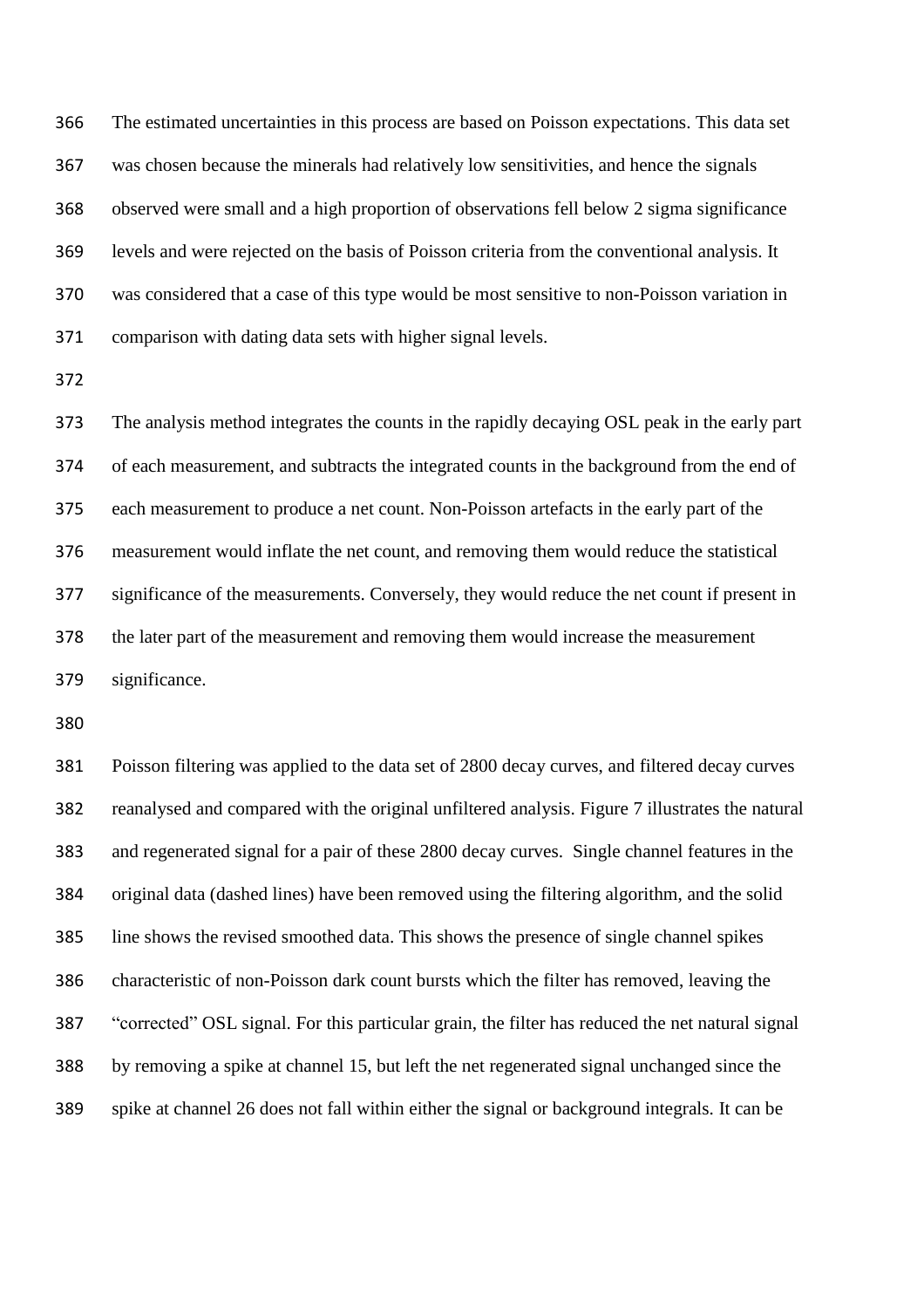The estimated uncertainties in this process are based on Poisson expectations. This data set was chosen because the minerals had relatively low sensitivities, and hence the signals observed were small and a high proportion of observations fell below 2 sigma significance levels and were rejected on the basis of Poisson criteria from the conventional analysis. It was considered that a case of this type would be most sensitive to non-Poisson variation in comparison with dating data sets with higher signal levels.

 The analysis method integrates the counts in the rapidly decaying OSL peak in the early part of each measurement, and subtracts the integrated counts in the background from the end of each measurement to produce a net count. Non-Poisson artefacts in the early part of the measurement would inflate the net count, and removing them would reduce the statistical significance of the measurements. Conversely, they would reduce the net count if present in the later part of the measurement and removing them would increase the measurement significance.

 Poisson filtering was applied to the data set of 2800 decay curves, and filtered decay curves reanalysed and compared with the original unfiltered analysis. Figure 7 illustrates the natural and regenerated signal for a pair of these 2800 decay curves. Single channel features in the original data (dashed lines) have been removed using the filtering algorithm, and the solid line shows the revised smoothed data. This shows the presence of single channel spikes characteristic of non-Poisson dark count bursts which the filter has removed, leaving the "corrected" OSL signal. For this particular grain, the filter has reduced the net natural signal by removing a spike at channel 15, but left the net regenerated signal unchanged since the spike at channel 26 does not fall within either the signal or background integrals. It can be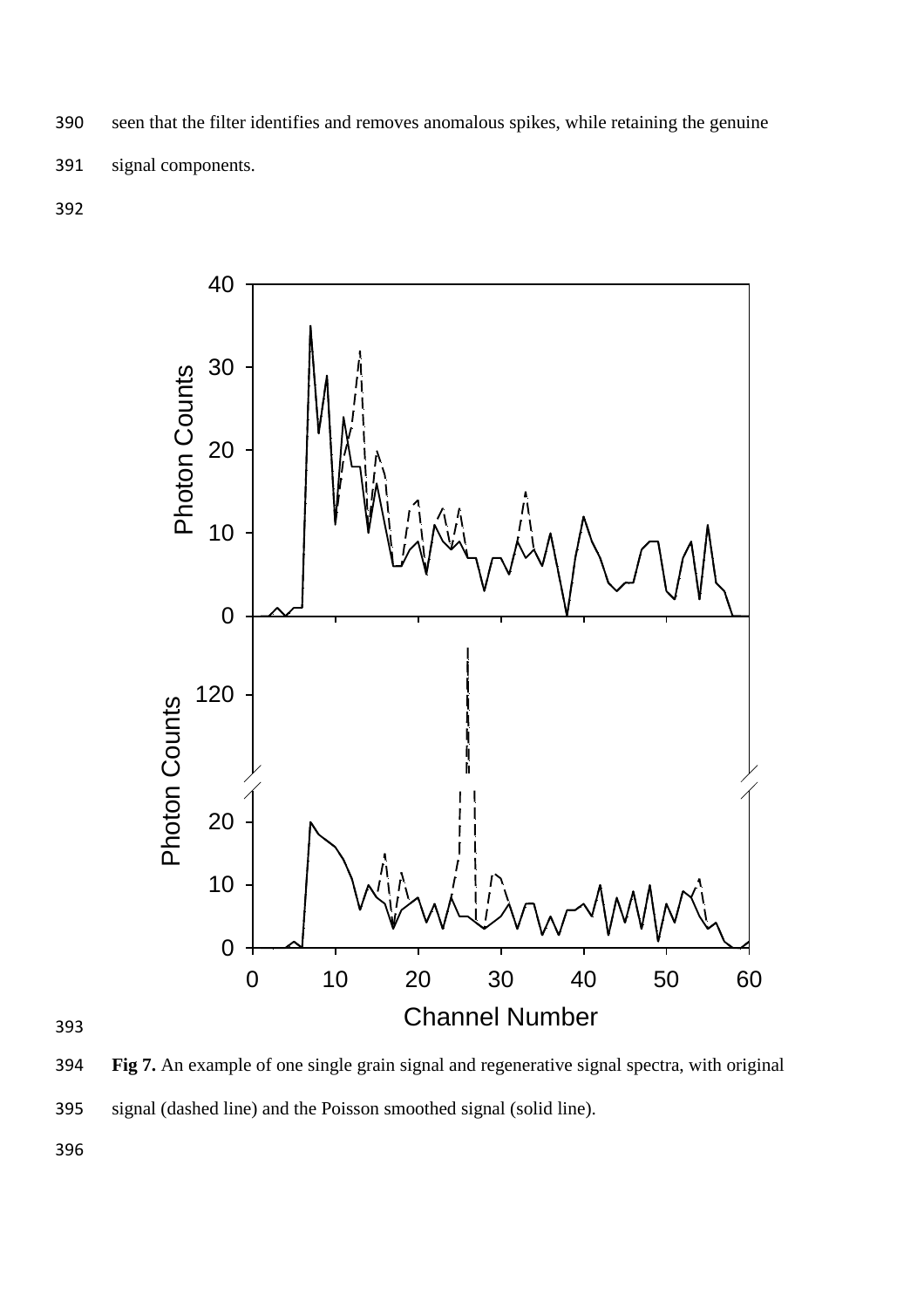seen that the filter identifies and removes anomalous spikes, while retaining the genuine signal components.



 **Fig 7.** An example of one single grain signal and regenerative signal spectra, with original signal (dashed line) and the Poisson smoothed signal (solid line).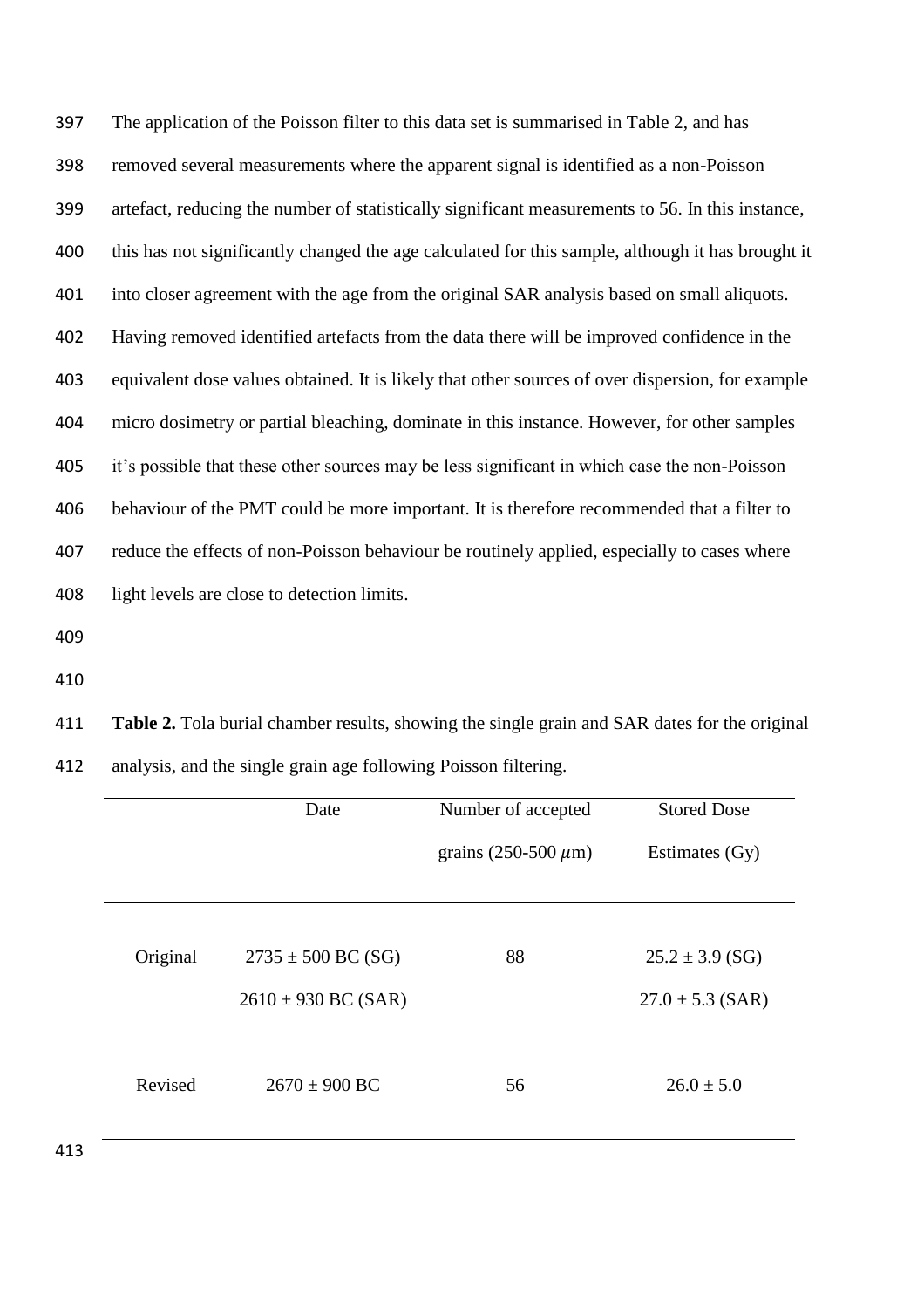The application of the Poisson filter to this data set is summarised in Table 2, and has removed several measurements where the apparent signal is identified as a non-Poisson artefact, reducing the number of statistically significant measurements to 56. In this instance, this has not significantly changed the age calculated for this sample, although it has brought it into closer agreement with the age from the original SAR analysis based on small aliquots. Having removed identified artefacts from the data there will be improved confidence in the equivalent dose values obtained. It is likely that other sources of over dispersion, for example micro dosimetry or partial bleaching, dominate in this instance. However, for other samples it's possible that these other sources may be less significant in which case the non-Poisson behaviour of the PMT could be more important. It is therefore recommended that a filter to reduce the effects of non-Poisson behaviour be routinely applied, especially to cases where light levels are close to detection limits.

- 
- 

 **Table 2.** Tola burial chamber results, showing the single grain and SAR dates for the original analysis, and the single grain age following Poisson filtering.

| grains $(250-500 \mu m)$<br>Estimates (Gy) |
|--------------------------------------------|
|                                            |
| $25.2 \pm 3.9$ (SG)                        |
| $27.0 \pm 5.3$ (SAR)                       |
|                                            |
| $26.0 \pm 5.0$                             |
|                                            |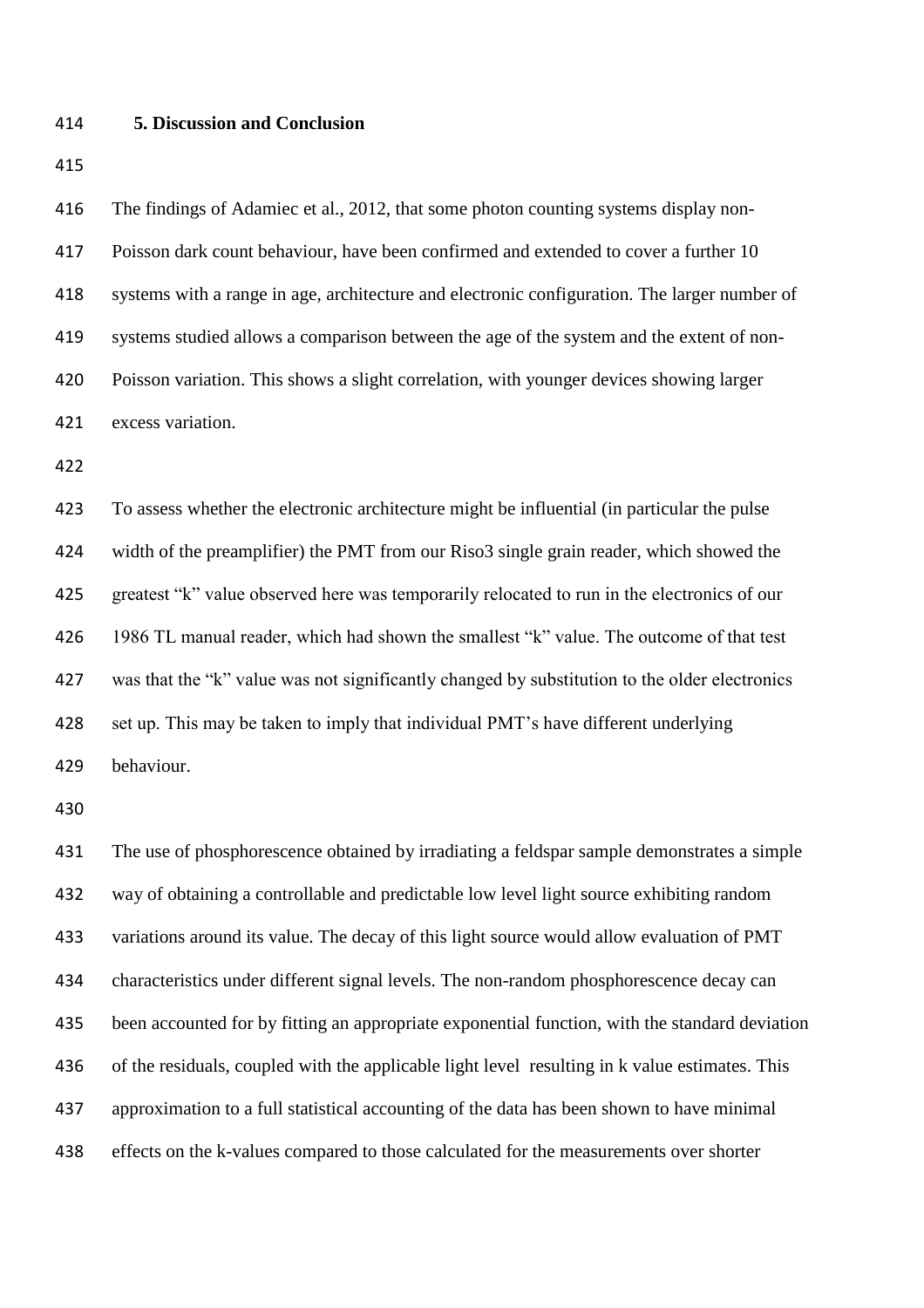#### **5. Discussion and Conclusion**

 The findings of Adamiec et al., 2012, that some photon counting systems display non- Poisson dark count behaviour, have been confirmed and extended to cover a further 10 systems with a range in age, architecture and electronic configuration. The larger number of systems studied allows a comparison between the age of the system and the extent of non- Poisson variation. This shows a slight correlation, with younger devices showing larger excess variation.

 To assess whether the electronic architecture might be influential (in particular the pulse width of the preamplifier) the PMT from our Riso3 single grain reader, which showed the greatest "k" value observed here was temporarily relocated to run in the electronics of our 1986 TL manual reader, which had shown the smallest "k" value. The outcome of that test was that the "k" value was not significantly changed by substitution to the older electronics set up. This may be taken to imply that individual PMT's have different underlying behaviour.

 The use of phosphorescence obtained by irradiating a feldspar sample demonstrates a simple way of obtaining a controllable and predictable low level light source exhibiting random variations around its value. The decay of this light source would allow evaluation of PMT characteristics under different signal levels. The non-random phosphorescence decay can been accounted for by fitting an appropriate exponential function, with the standard deviation of the residuals, coupled with the applicable light level resulting in k value estimates. This approximation to a full statistical accounting of the data has been shown to have minimal effects on the k-values compared to those calculated for the measurements over shorter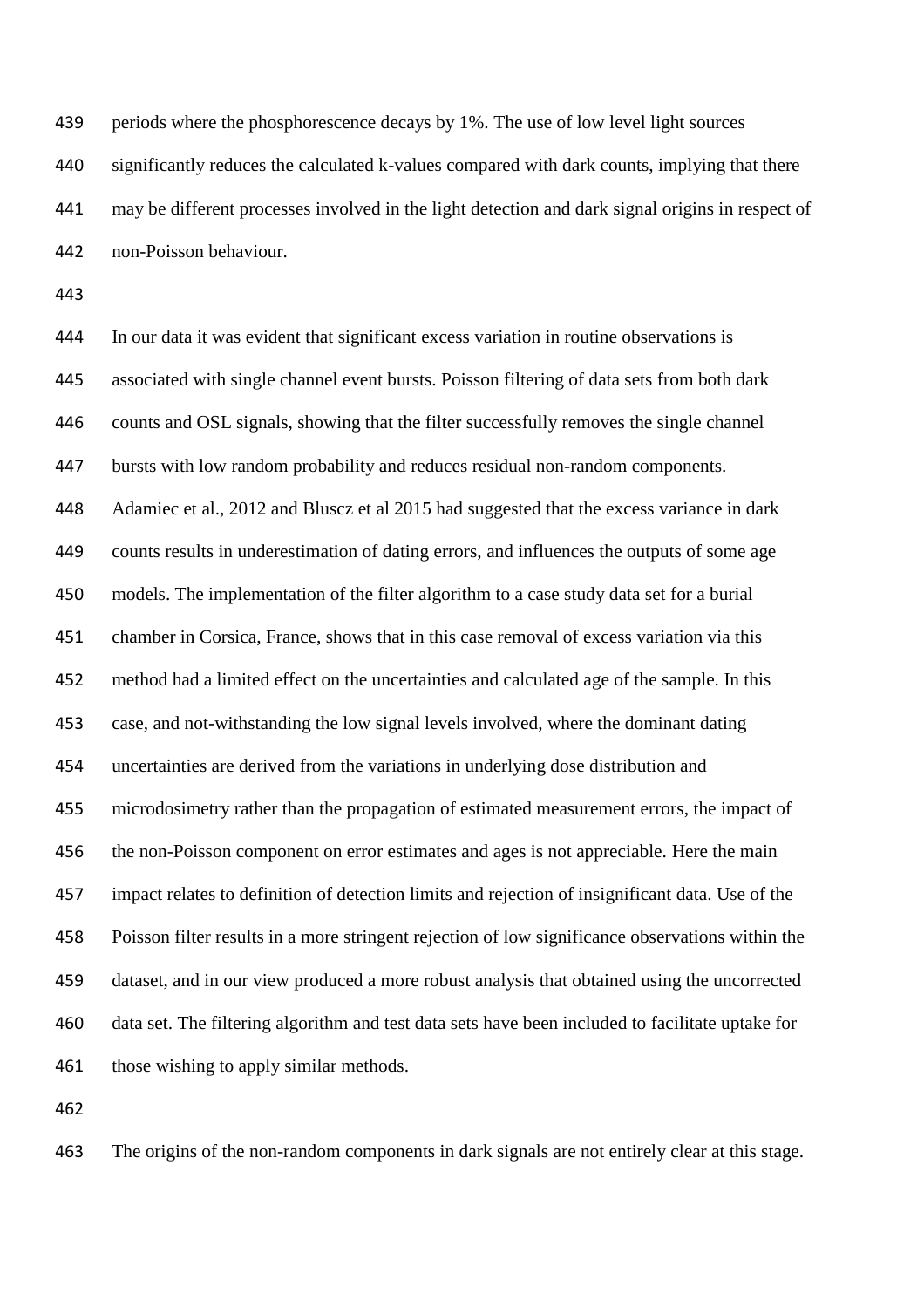periods where the phosphorescence decays by 1%. The use of low level light sources significantly reduces the calculated k-values compared with dark counts, implying that there may be different processes involved in the light detection and dark signal origins in respect of non-Poisson behaviour.

 In our data it was evident that significant excess variation in routine observations is associated with single channel event bursts. Poisson filtering of data sets from both dark counts and OSL signals, showing that the filter successfully removes the single channel bursts with low random probability and reduces residual non-random components. Adamiec et al., 2012 and Bluscz et al 2015 had suggested that the excess variance in dark counts results in underestimation of dating errors, and influences the outputs of some age models. The implementation of the filter algorithm to a case study data set for a burial chamber in Corsica, France, shows that in this case removal of excess variation via this method had a limited effect on the uncertainties and calculated age of the sample. In this case, and not-withstanding the low signal levels involved, where the dominant dating uncertainties are derived from the variations in underlying dose distribution and microdosimetry rather than the propagation of estimated measurement errors, the impact of the non-Poisson component on error estimates and ages is not appreciable. Here the main impact relates to definition of detection limits and rejection of insignificant data. Use of the Poisson filter results in a more stringent rejection of low significance observations within the dataset, and in our view produced a more robust analysis that obtained using the uncorrected data set. The filtering algorithm and test data sets have been included to facilitate uptake for 461 those wishing to apply similar methods.

The origins of the non-random components in dark signals are not entirely clear at this stage.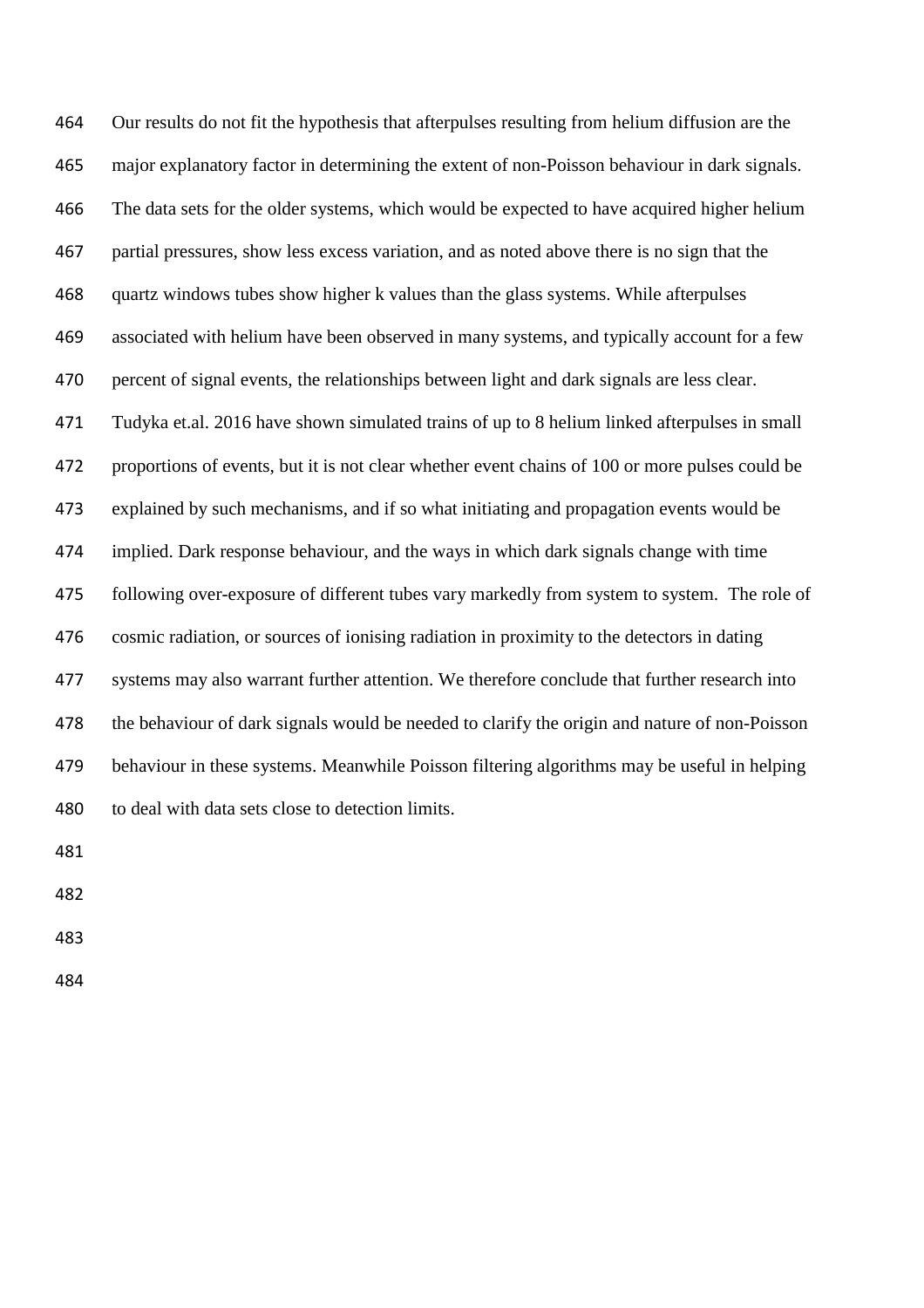Our results do not fit the hypothesis that afterpulses resulting from helium diffusion are the major explanatory factor in determining the extent of non-Poisson behaviour in dark signals. The data sets for the older systems, which would be expected to have acquired higher helium partial pressures, show less excess variation, and as noted above there is no sign that the quartz windows tubes show higher k values than the glass systems. While afterpulses associated with helium have been observed in many systems, and typically account for a few percent of signal events, the relationships between light and dark signals are less clear. Tudyka et.al. 2016 have shown simulated trains of up to 8 helium linked afterpulses in small proportions of events, but it is not clear whether event chains of 100 or more pulses could be explained by such mechanisms, and if so what initiating and propagation events would be implied. Dark response behaviour, and the ways in which dark signals change with time following over-exposure of different tubes vary markedly from system to system. The role of cosmic radiation, or sources of ionising radiation in proximity to the detectors in dating systems may also warrant further attention. We therefore conclude that further research into the behaviour of dark signals would be needed to clarify the origin and nature of non-Poisson behaviour in these systems. Meanwhile Poisson filtering algorithms may be useful in helping to deal with data sets close to detection limits.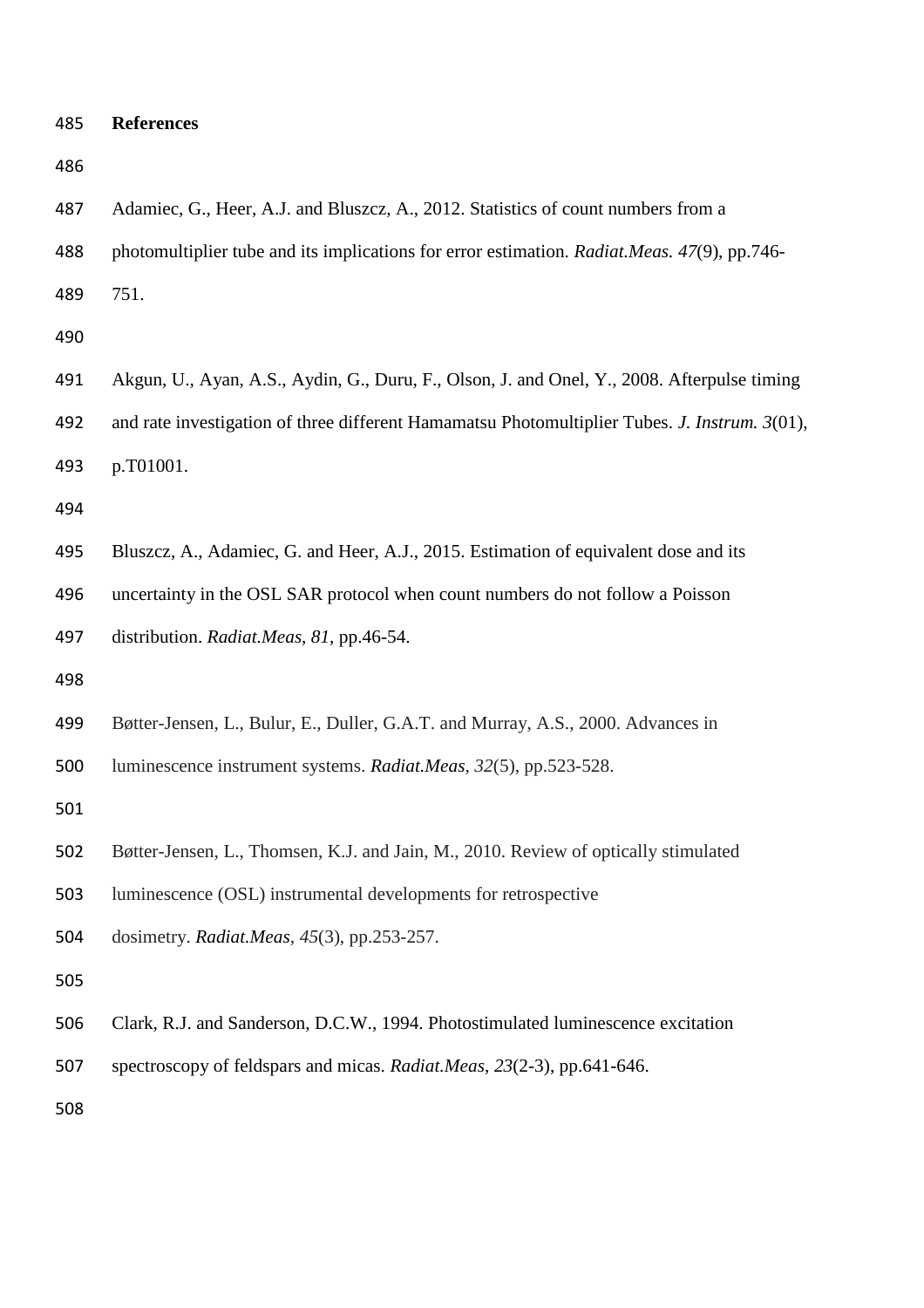| 487 | Adamiec, G., Heer, A.J. and Bluszcz, A., 2012. Statistics of count numbers from a             |
|-----|-----------------------------------------------------------------------------------------------|
| 488 | photomultiplier tube and its implications for error estimation. Radiat.Meas. 47(9), pp.746-   |
| 489 | 751.                                                                                          |
| 490 |                                                                                               |
| 491 | Akgun, U., Ayan, A.S., Aydin, G., Duru, F., Olson, J. and Onel, Y., 2008. Afterpulse timing   |
| 492 | and rate investigation of three different Hamamatsu Photomultiplier Tubes. J. Instrum. 3(01), |
| 493 | p.T01001.                                                                                     |
| 494 |                                                                                               |
| 495 | Bluszcz, A., Adamiec, G. and Heer, A.J., 2015. Estimation of equivalent dose and its          |
| 496 | uncertainty in the OSL SAR protocol when count numbers do not follow a Poisson                |
| 497 | distribution. Radiat.Meas, 81, pp.46-54.                                                      |
| 498 |                                                                                               |
| 499 | Bøtter-Jensen, L., Bulur, E., Duller, G.A.T. and Murray, A.S., 2000. Advances in              |
| 500 | luminescence instrument systems. Radiat.Meas, 32(5), pp.523-528.                              |
| 501 |                                                                                               |
| 502 | Bøtter-Jensen, L., Thomsen, K.J. and Jain, M., 2010. Review of optically stimulated           |
| 503 | luminescence (OSL) instrumental developments for retrospective                                |
| 504 | dosimetry. Radiat.Meas, 45(3), pp.253-257.                                                    |
| 505 |                                                                                               |
| 506 | Clark, R.J. and Sanderson, D.C.W., 1994. Photostimulated luminescence excitation              |
| 507 | spectroscopy of feldspars and micas. Radiat.Meas, 23(2-3), pp.641-646.                        |
| 508 |                                                                                               |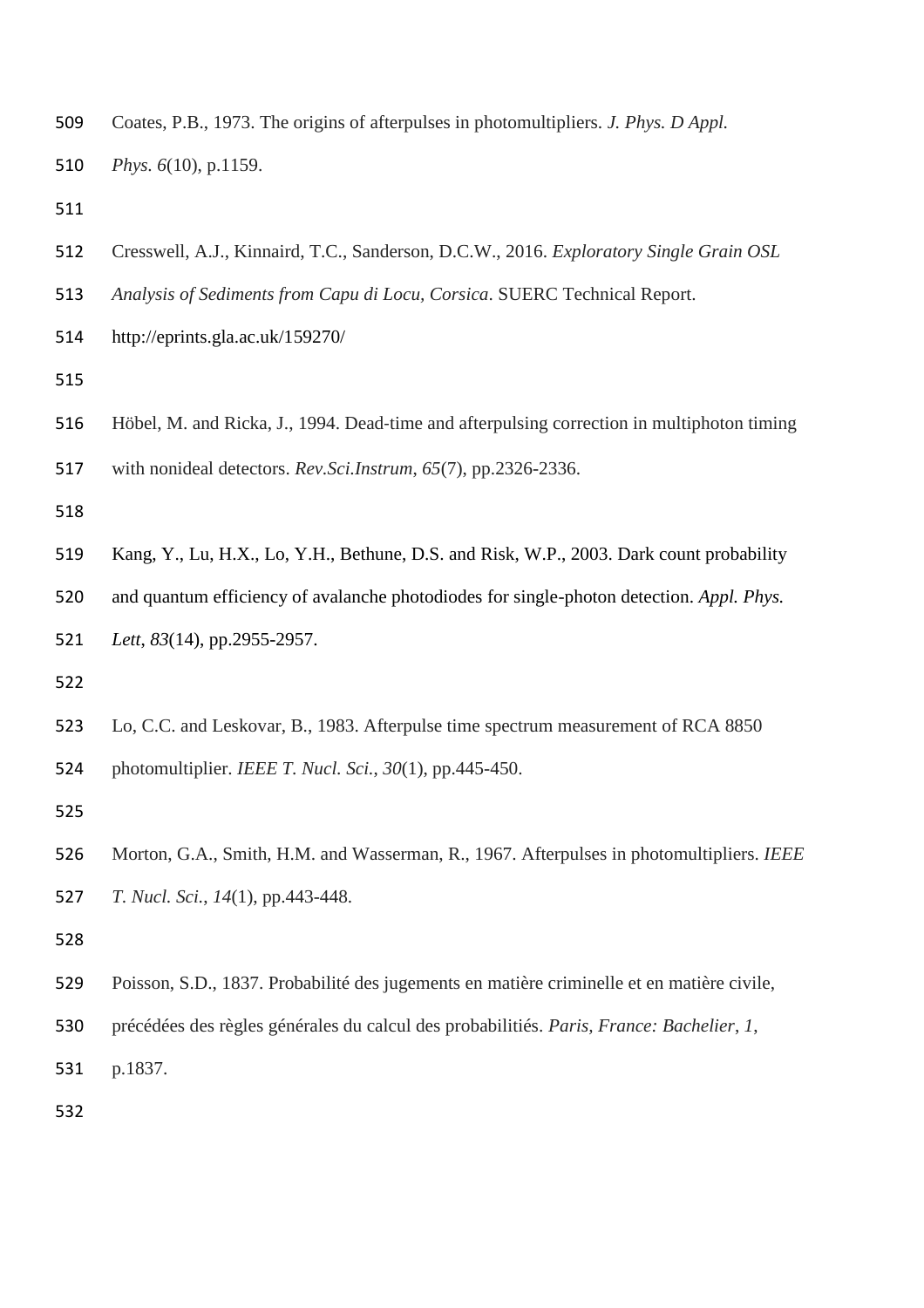- Coates, P.B., 1973. The origins of afterpulses in photomultipliers. *J. Phys. D Appl. Phys. 6*(10), p.1159.
- 
- Cresswell, A.J., Kinnaird, T.C., Sanderson, D.C.W., 2016. *Exploratory Single Grain OSL*
- *Analysis of Sediments from Capu di Locu, Corsica*. SUERC Technical Report.
- http://eprints.gla.ac.uk/159270/
- 
- Höbel, M. and Ricka, J., 1994. Dead‐time and afterpulsing correction in multiphoton timing
- with nonideal detectors. *Rev.Sci.Instrum*, *65*(7), pp.2326-2336.
- 
- Kang, Y., Lu, H.X., Lo, Y.H., Bethune, D.S. and Risk, W.P., 2003. Dark count probability

and quantum efficiency of avalanche photodiodes for single-photon detection. *Appl. Phys.*

- *Lett*, *83*(14), pp.2955-2957.
- 
- Lo, C.C. and Leskovar, B., 1983. Afterpulse time spectrum measurement of RCA 8850 photomultiplier. *IEEE T. Nucl. Sci.*, *30*(1), pp.445-450.
- 
- Morton, G.A., Smith, H.M. and Wasserman, R., 1967. Afterpulses in photomultipliers. *IEEE T. Nucl. Sci.*, *14*(1), pp.443-448.
- 
- Poisson, S.D., 1837. Probabilité des jugements en matière criminelle et en matière civile,
- précédées des règles générales du calcul des probabilitiés. *Paris, France: Bachelier*, *1*,
- p.1837.
-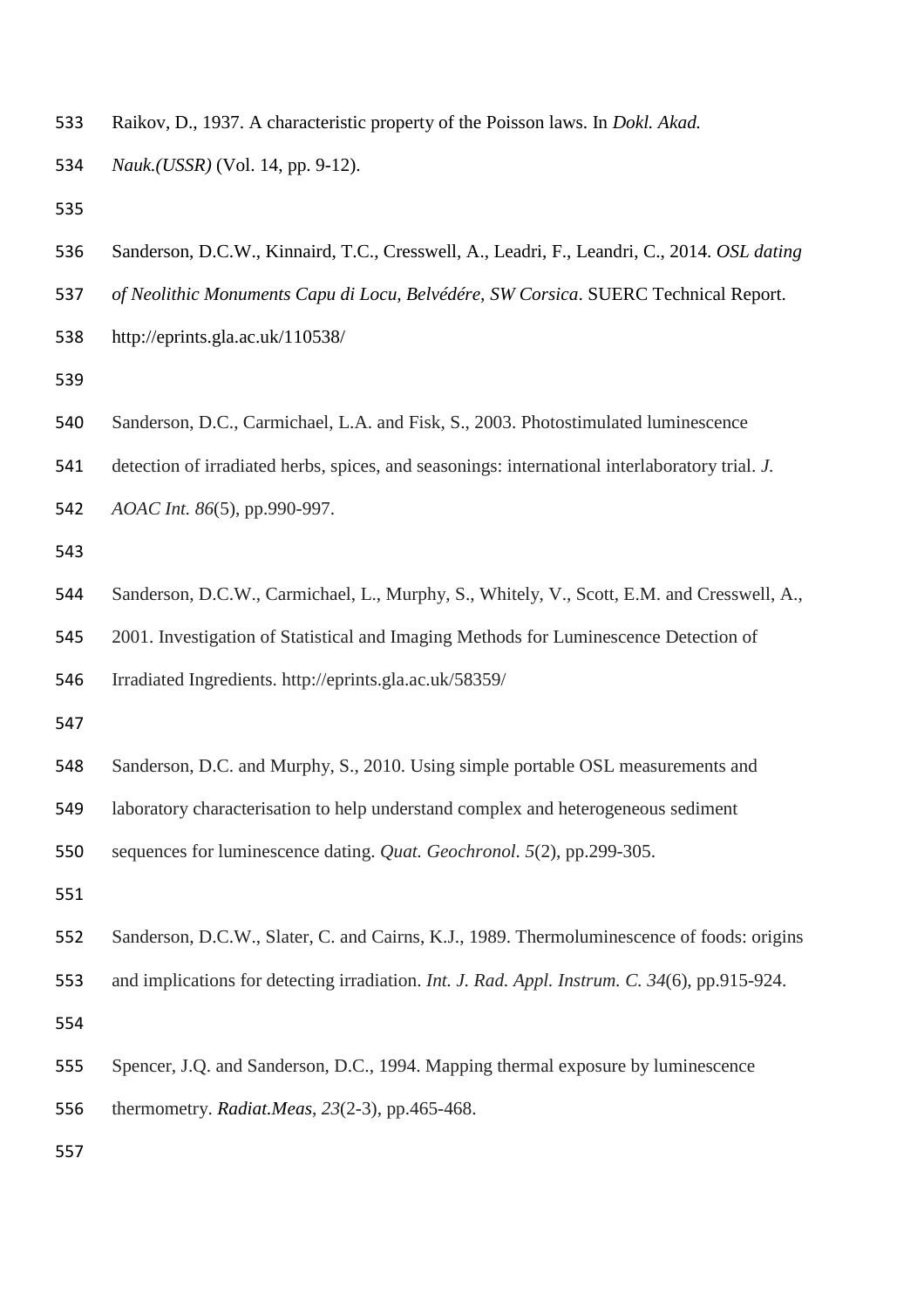- Raikov, D., 1937. A characteristic property of the Poisson laws. In *Dokl. Akad.*
- *Nauk.(USSR)* (Vol. 14, pp. 9-12).
- 
- Sanderson, D.C.W., Kinnaird, T.C., Cresswell, A., Leadri, F., Leandri, C., 2014. *OSL dating*
- *of Neolithic Monuments Capu di Locu, Belvédére, SW Corsica*. SUERC Technical Report.
- http://eprints.gla.ac.uk/110538/
- 
- Sanderson, D.C., Carmichael, L.A. and Fisk, S., 2003. Photostimulated luminescence
- detection of irradiated herbs, spices, and seasonings: international interlaboratory trial. *J.*
- *AOAC Int. 86*(5), pp.990-997.
- 
- Sanderson, D.C.W., Carmichael, L., Murphy, S., Whitely, V., Scott, E.M. and Cresswell, A.,
- 2001. Investigation of Statistical and Imaging Methods for Luminescence Detection of
- Irradiated Ingredients. http://eprints.gla.ac.uk/58359/
- 
- Sanderson, D.C. and Murphy, S., 2010. Using simple portable OSL measurements and
- laboratory characterisation to help understand complex and heterogeneous sediment
- sequences for luminescence dating. *Quat. Geochronol. 5*(2), pp.299-305.
- 
- Sanderson, D.C.W., Slater, C. and Cairns, K.J., 1989. Thermoluminescence of foods: origins
- and implications for detecting irradiation. *Int. J. Rad. Appl. Instrum. C. 34*(6), pp.915-924.
- 
- Spencer, J.Q. and Sanderson, D.C., 1994. Mapping thermal exposure by luminescence
- thermometry. *Radiat.Meas*, *23*(2-3), pp.465-468.
-